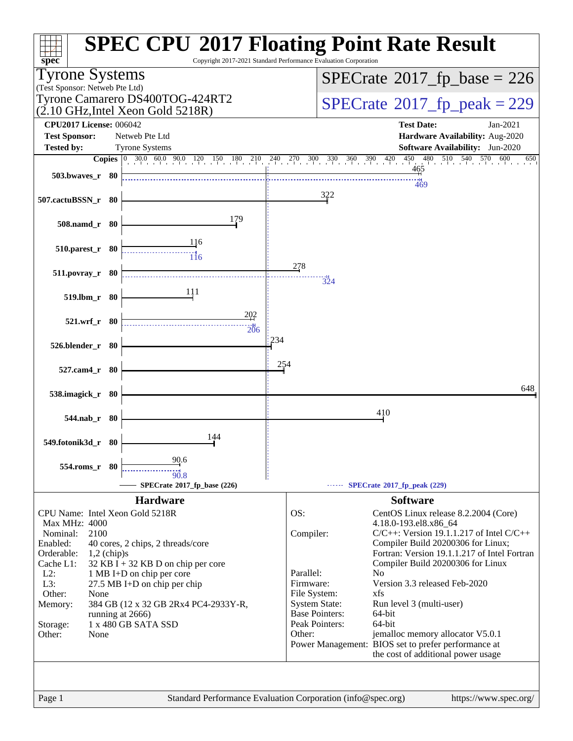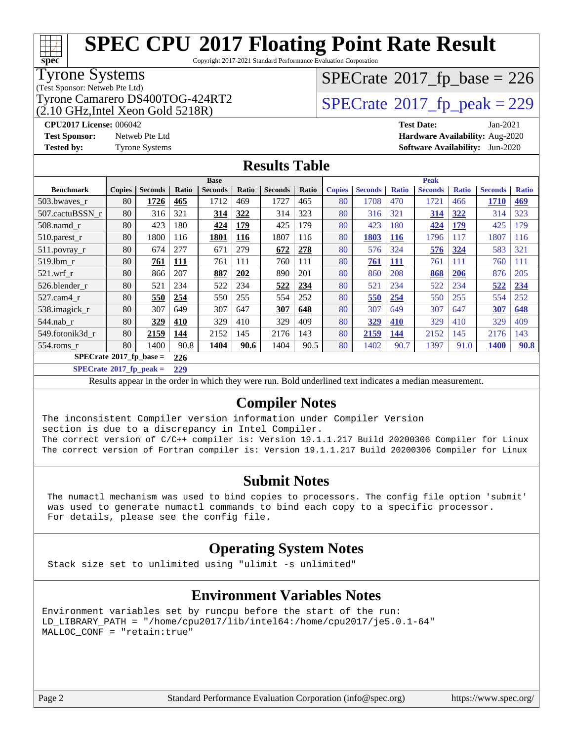# **[SPEC CPU](http://www.spec.org/auto/cpu2017/Docs/result-fields.html#SPECCPU2017FloatingPointRateResult)[2017 Floating Point Rate Result](http://www.spec.org/auto/cpu2017/Docs/result-fields.html#SPECCPU2017FloatingPointRateResult)**

Copyright 2017-2021 Standard Performance Evaluation Corporation

### Tyrone Systems

(Test Sponsor: Netweb Pte Ltd)

(2.10 GHz,Intel Xeon Gold 5218R)

### $SPECTate$ <sup>®</sup>[2017\\_fp\\_base =](http://www.spec.org/auto/cpu2017/Docs/result-fields.html#SPECrate2017fpbase) 226

### Tyrone Camarero DS400TOG-424RT2  $\vert$  [SPECrate](http://www.spec.org/auto/cpu2017/Docs/result-fields.html#SPECrate2017fppeak)®[2017\\_fp\\_peak = 2](http://www.spec.org/auto/cpu2017/Docs/result-fields.html#SPECrate2017fppeak)29

**[CPU2017 License:](http://www.spec.org/auto/cpu2017/Docs/result-fields.html#CPU2017License)** 006042 **[Test Date:](http://www.spec.org/auto/cpu2017/Docs/result-fields.html#TestDate)** Jan-2021 **[Test Sponsor:](http://www.spec.org/auto/cpu2017/Docs/result-fields.html#TestSponsor)** Netweb Pte Ltd **[Hardware Availability:](http://www.spec.org/auto/cpu2017/Docs/result-fields.html#HardwareAvailability)** Aug-2020 **[Tested by:](http://www.spec.org/auto/cpu2017/Docs/result-fields.html#Testedby)** Tyrone Systems **[Software Availability:](http://www.spec.org/auto/cpu2017/Docs/result-fields.html#SoftwareAvailability)** Jun-2020

### **[Results Table](http://www.spec.org/auto/cpu2017/Docs/result-fields.html#ResultsTable)**

|                            | <b>Base</b>   |                |            |                | <b>Peak</b> |                |       |               |                |              |                |              |                |              |
|----------------------------|---------------|----------------|------------|----------------|-------------|----------------|-------|---------------|----------------|--------------|----------------|--------------|----------------|--------------|
| <b>Benchmark</b>           | <b>Copies</b> | <b>Seconds</b> | Ratio      | <b>Seconds</b> | Ratio       | <b>Seconds</b> | Ratio | <b>Copies</b> | <b>Seconds</b> | <b>Ratio</b> | <b>Seconds</b> | <b>Ratio</b> | <b>Seconds</b> | <b>Ratio</b> |
| 503.bwayes r               | 80            | 1726           | 465        | 1712           | 469         | 1727           | 465   | 80            | 1708           | 470          | 1721           | 466          | 1710           | 469          |
| 507.cactuBSSN r            | 80            | 316            | 321        | 314            | 322         | 314            | 323   | 80            | 316            | 321          | 314            | 322          | 314            | 323          |
| $508$ .namd $r$            | 80            | 423            | 180        | 424            | 179         | 425            | 179   | 80            | 423            | 180          | 424            | 179          | 425            | 179          |
| $510.parest_r$             | 80            | 1800           | 116        | 1801           | 116         | 1807           | 116   | 80            | 1803           | 116          | 1796           | 117          | 1807           | 116          |
| 511.povray_r               | 80            | 674            | 277        | 671            | 279         | 672            | 278   | 80            | 576            | 324          | 576            | 324          | 583            | 321          |
| 519.1bm r                  | 80            | 761            | <u>111</u> | 761            | 111         | 760            | 111   | 80            | 761            | <u>111</u>   | 761            | 111          | 760            | 111          |
| $521$ .wrf r               | 80            | 866            | 207        | 887            | 202         | 890            | 201   | 80            | 860            | 208          | 868            | <b>206</b>   | 876            | 205          |
| 526.blender r              | 80            | 521            | 234        | 522            | 234         | 522            | 234   | 80            | 521            | 234          | 522            | 234          | 522            | 234          |
| 527.cam4 r                 | 80            | 550            | 254        | 550            | 255         | 554            | 252   | 80            | 550            | 254          | 550            | 255          | 554            | 252          |
| 538.imagick_r              | 80            | 307            | 649        | 307            | 647         | 307            | 648   | 80            | 307            | 649          | 307            | 647          | 307            | 648          |
| 544.nab r                  | 80            | 329            | 410        | 329            | 410         | 329            | 409   | 80            | 329            | 410          | 329            | 410          | 329            | 409          |
| 549.fotonik3d r            | 80            | 2159           | 144        | 2152           | 145         | 2176           | 143   | 80            | 2159           | 144          | 2152           | 145          | 2176           | 143          |
| $554$ .roms r              | 80            | 1400           | 90.8       | 1404           | 90.6        | 1404           | 90.5  | 80            | 1402           | 90.7         | 1397           | 91.0         | <b>1400</b>    | <b>90.8</b>  |
| $SPECrate*2017_fp\_base =$ |               |                | 226        |                |             |                |       |               |                |              |                |              |                |              |

**[SPECrate](http://www.spec.org/auto/cpu2017/Docs/result-fields.html#SPECrate2017fppeak)[2017\\_fp\\_peak =](http://www.spec.org/auto/cpu2017/Docs/result-fields.html#SPECrate2017fppeak) 229**

Results appear in the [order in which they were run.](http://www.spec.org/auto/cpu2017/Docs/result-fields.html#RunOrder) Bold underlined text [indicates a median measurement.](http://www.spec.org/auto/cpu2017/Docs/result-fields.html#Median)

### **[Compiler Notes](http://www.spec.org/auto/cpu2017/Docs/result-fields.html#CompilerNotes)**

The inconsistent Compiler version information under Compiler Version section is due to a discrepancy in Intel Compiler. The correct version of C/C++ compiler is: Version 19.1.1.217 Build 20200306 Compiler for Linux

The correct version of Fortran compiler is: Version 19.1.1.217 Build 20200306 Compiler for Linux

#### **[Submit Notes](http://www.spec.org/auto/cpu2017/Docs/result-fields.html#SubmitNotes)**

 The numactl mechanism was used to bind copies to processors. The config file option 'submit' was used to generate numactl commands to bind each copy to a specific processor. For details, please see the config file.

### **[Operating System Notes](http://www.spec.org/auto/cpu2017/Docs/result-fields.html#OperatingSystemNotes)**

Stack size set to unlimited using "ulimit -s unlimited"

### **[Environment Variables Notes](http://www.spec.org/auto/cpu2017/Docs/result-fields.html#EnvironmentVariablesNotes)**

Environment variables set by runcpu before the start of the run: LD\_LIBRARY\_PATH = "/home/cpu2017/lib/intel64:/home/cpu2017/je5.0.1-64" MALLOC\_CONF = "retain:true"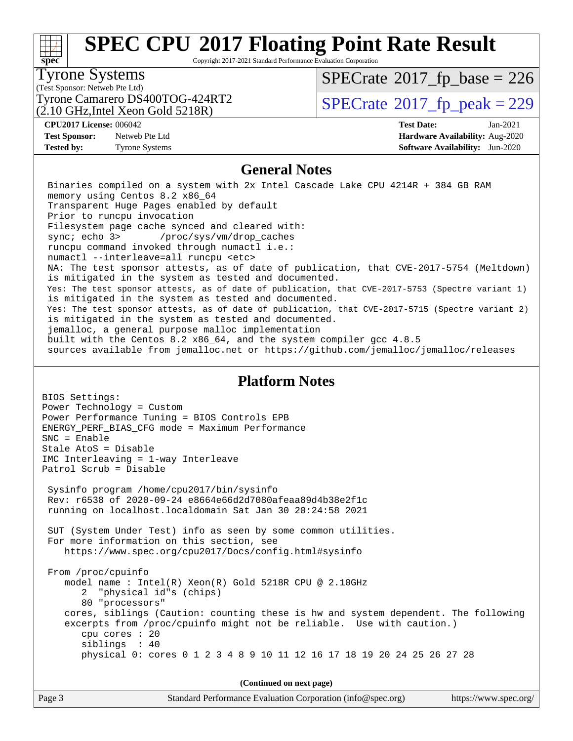# **[SPEC CPU](http://www.spec.org/auto/cpu2017/Docs/result-fields.html#SPECCPU2017FloatingPointRateResult)[2017 Floating Point Rate Result](http://www.spec.org/auto/cpu2017/Docs/result-fields.html#SPECCPU2017FloatingPointRateResult)**

Copyright 2017-2021 Standard Performance Evaluation Corporation

#### Tyrone Systems

(Test Sponsor: Netweb Pte Ltd)

(2.10 GHz,Intel Xeon Gold 5218R)

 $SPECTate$ <sup>®</sup>[2017\\_fp\\_base =](http://www.spec.org/auto/cpu2017/Docs/result-fields.html#SPECrate2017fpbase) 226

Tyrone Camarero DS400TOG-424RT2  $\vert$  [SPECrate](http://www.spec.org/auto/cpu2017/Docs/result-fields.html#SPECrate2017fppeak)®[2017\\_fp\\_peak = 2](http://www.spec.org/auto/cpu2017/Docs/result-fields.html#SPECrate2017fppeak)29

**[Test Sponsor:](http://www.spec.org/auto/cpu2017/Docs/result-fields.html#TestSponsor)** Netweb Pte Ltd **[Hardware Availability:](http://www.spec.org/auto/cpu2017/Docs/result-fields.html#HardwareAvailability)** Aug-2020

**[CPU2017 License:](http://www.spec.org/auto/cpu2017/Docs/result-fields.html#CPU2017License)** 006042 **[Test Date:](http://www.spec.org/auto/cpu2017/Docs/result-fields.html#TestDate)** Jan-2021 **[Tested by:](http://www.spec.org/auto/cpu2017/Docs/result-fields.html#Testedby)** Tyrone Systems **[Software Availability:](http://www.spec.org/auto/cpu2017/Docs/result-fields.html#SoftwareAvailability)** Jun-2020

### **[General Notes](http://www.spec.org/auto/cpu2017/Docs/result-fields.html#GeneralNotes)**

 Binaries compiled on a system with 2x Intel Cascade Lake CPU 4214R + 384 GB RAM memory using Centos 8.2 x86\_64 Transparent Huge Pages enabled by default Prior to runcpu invocation Filesystem page cache synced and cleared with: sync; echo 3> /proc/sys/vm/drop\_caches runcpu command invoked through numactl i.e.: numactl --interleave=all runcpu <etc> NA: The test sponsor attests, as of date of publication, that CVE-2017-5754 (Meltdown) is mitigated in the system as tested and documented. Yes: The test sponsor attests, as of date of publication, that CVE-2017-5753 (Spectre variant 1) is mitigated in the system as tested and documented. Yes: The test sponsor attests, as of date of publication, that CVE-2017-5715 (Spectre variant 2) is mitigated in the system as tested and documented. jemalloc, a general purpose malloc implementation built with the Centos 8.2 x86\_64, and the system compiler gcc 4.8.5 sources available from jemalloc.net or<https://github.com/jemalloc/jemalloc/releases>

#### **[Platform Notes](http://www.spec.org/auto/cpu2017/Docs/result-fields.html#PlatformNotes)**

BIOS Settings: Power Technology = Custom Power Performance Tuning = BIOS Controls EPB ENERGY\_PERF\_BIAS\_CFG mode = Maximum Performance SNC = Enable Stale AtoS = Disable IMC Interleaving = 1-way Interleave Patrol Scrub = Disable Sysinfo program /home/cpu2017/bin/sysinfo Rev: r6538 of 2020-09-24 e8664e66d2d7080afeaa89d4b38e2f1c running on localhost.localdomain Sat Jan 30 20:24:58 2021 SUT (System Under Test) info as seen by some common utilities. For more information on this section, see <https://www.spec.org/cpu2017/Docs/config.html#sysinfo> From /proc/cpuinfo model name : Intel(R) Xeon(R) Gold 5218R CPU @ 2.10GHz 2 "physical id"s (chips) 80 "processors" cores, siblings (Caution: counting these is hw and system dependent. The following excerpts from /proc/cpuinfo might not be reliable. Use with caution.) cpu cores : 20 siblings : 40 physical 0: cores 0 1 2 3 4 8 9 10 11 12 16 17 18 19 20 24 25 26 27 28

**(Continued on next page)**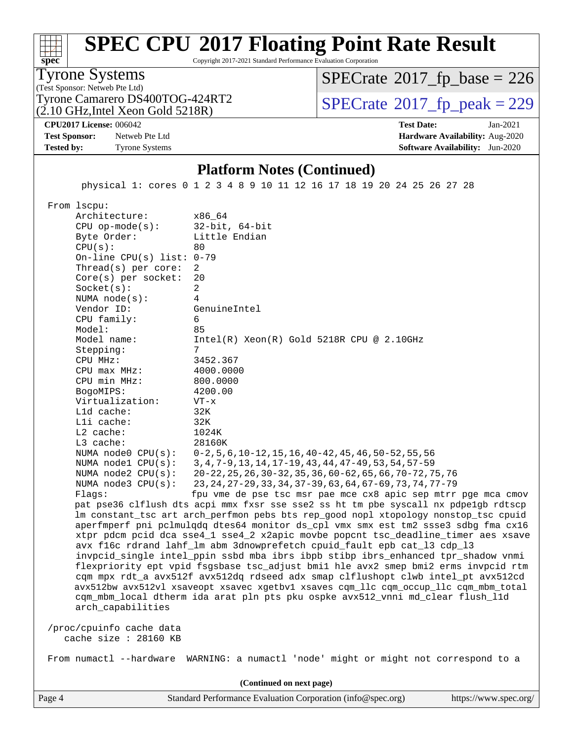|  | 67<br>۱۱<br>. .<br>$\overline{\phantom{a}}$ | ۱۱<br>l I<br>- 11<br>٠ |
|--|---------------------------------------------|------------------------|
|  |                                             |                        |

Copyright 2017-2021 Standard Performance Evaluation Corporation

(Test Sponsor: Netweb Pte Ltd) Tyrone Systems

(2.10 GHz,Intel Xeon Gold 5218R) Tyrone Camarero DS400TOG-424RT2  $\vert$  [SPECrate](http://www.spec.org/auto/cpu2017/Docs/result-fields.html#SPECrate2017fppeak)®[2017\\_fp\\_peak = 2](http://www.spec.org/auto/cpu2017/Docs/result-fields.html#SPECrate2017fppeak)29

 $SPECTate$ <sup>®</sup>[2017\\_fp\\_base =](http://www.spec.org/auto/cpu2017/Docs/result-fields.html#SPECrate2017fpbase) 226

**[CPU2017 License:](http://www.spec.org/auto/cpu2017/Docs/result-fields.html#CPU2017License)** 006042 **[Test Date:](http://www.spec.org/auto/cpu2017/Docs/result-fields.html#TestDate)** Jan-2021

**[Test Sponsor:](http://www.spec.org/auto/cpu2017/Docs/result-fields.html#TestSponsor)** Netweb Pte Ltd **[Hardware Availability:](http://www.spec.org/auto/cpu2017/Docs/result-fields.html#HardwareAvailability)** Aug-2020 **[Tested by:](http://www.spec.org/auto/cpu2017/Docs/result-fields.html#Testedby)** Tyrone Systems **[Software Availability:](http://www.spec.org/auto/cpu2017/Docs/result-fields.html#SoftwareAvailability)** Jun-2020

### **[Platform Notes \(Continued\)](http://www.spec.org/auto/cpu2017/Docs/result-fields.html#PlatformNotes)**

physical 1: cores 0 1 2 3 4 8 9 10 11 12 16 17 18 19 20 24 25 26 27 28

From lscpu:

**[spec](http://www.spec.org/)**

Architecture: x86\_64<br>CPU op-mode(s): 32-bit, 64-bit CPU op-mode $(s):$ Byte Order: Little Endian  $CPU(s):$  80 On-line CPU(s) list: 0-79 Thread(s) per core: 2 Core(s) per socket: 20 Socket(s): 2 NUMA node(s): 4 Vendor ID: GenuineIntel CPU family: 6 Model: 85 Model name: Intel(R) Xeon(R) Gold 5218R CPU @ 2.10GHz Stepping: CPU MHz: 3452.367 CPU max MHz: 4000.0000 CPU min MHz: 800.0000 BogoMIPS: 4200.00 Virtualization: VT-x L1d cache: 32K L1i cache: 32K L2 cache: 1024K L3 cache: 28160K NUMA node0 CPU(s): 0-2,5,6,10-12,15,16,40-42,45,46,50-52,55,56 NUMA node1 CPU(s): 3,4,7-9,13,14,17-19,43,44,47-49,53,54,57-59 NUMA node2 CPU(s): 20-22,25,26,30-32,35,36,60-62,65,66,70-72,75,76 NUMA node3 CPU(s): 23,24,27-29,33,34,37-39,63,64,67-69,73,74,77-79 Flags: fpu vme de pse tsc msr pae mce cx8 apic sep mtrr pge mca cmov pat pse36 clflush dts acpi mmx fxsr sse sse2 ss ht tm pbe syscall nx pdpe1gb rdtscp lm constant\_tsc art arch\_perfmon pebs bts rep\_good nopl xtopology nonstop\_tsc cpuid aperfmperf pni pclmulqdq dtes64 monitor ds\_cpl vmx smx est tm2 ssse3 sdbg fma cx16 xtpr pdcm pcid dca sse4\_1 sse4\_2 x2apic movbe popcnt tsc\_deadline\_timer aes xsave avx f16c rdrand lahf\_lm abm 3dnowprefetch cpuid\_fault epb cat\_l3 cdp\_l3 invpcid\_single intel\_ppin ssbd mba ibrs ibpb stibp ibrs\_enhanced tpr\_shadow vnmi flexpriority ept vpid fsgsbase tsc\_adjust bmi1 hle avx2 smep bmi2 erms invpcid rtm cqm mpx rdt\_a avx512f avx512dq rdseed adx smap clflushopt clwb intel\_pt avx512cd avx512bw avx512vl xsaveopt xsavec xgetbv1 xsaves cqm\_llc cqm\_occup\_llc cqm\_mbm\_total cqm\_mbm\_local dtherm ida arat pln pts pku ospke avx512\_vnni md\_clear flush\_l1d arch\_capabilities /proc/cpuinfo cache data cache size : 28160 KB From numactl --hardware WARNING: a numactl 'node' might or might not correspond to a

**(Continued on next page)**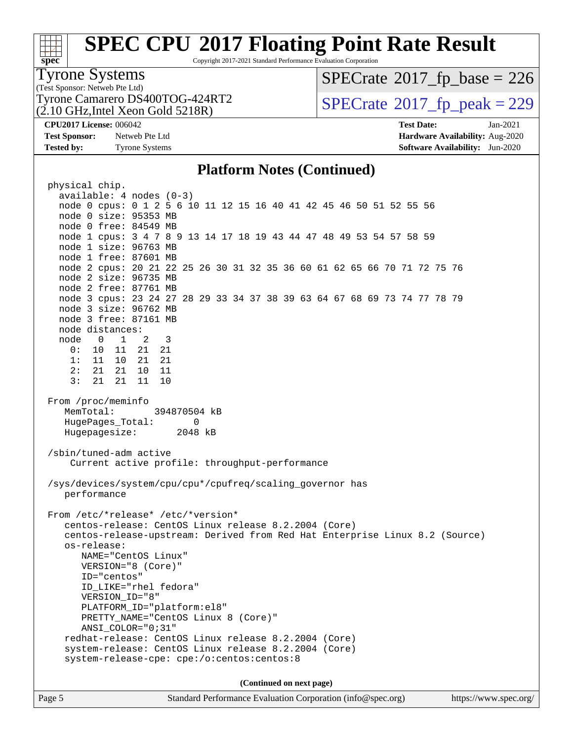# **[SPEC CPU](http://www.spec.org/auto/cpu2017/Docs/result-fields.html#SPECCPU2017FloatingPointRateResult)[2017 Floating Point Rate Result](http://www.spec.org/auto/cpu2017/Docs/result-fields.html#SPECCPU2017FloatingPointRateResult)**

Copyright 2017-2021 Standard Performance Evaluation Corporation

### Tyrone Systems

(Test Sponsor: Netweb Pte Ltd) (2.10 GHz,Intel Xeon Gold 5218R)

### $SPECTate$ <sup>®</sup>[2017\\_fp\\_base =](http://www.spec.org/auto/cpu2017/Docs/result-fields.html#SPECrate2017fpbase) 226

Tyrone Camarero DS400TOG-424RT2  $\vert$  [SPECrate](http://www.spec.org/auto/cpu2017/Docs/result-fields.html#SPECrate2017fppeak)®[2017\\_fp\\_peak = 2](http://www.spec.org/auto/cpu2017/Docs/result-fields.html#SPECrate2017fppeak)29

**[Tested by:](http://www.spec.org/auto/cpu2017/Docs/result-fields.html#Testedby)** Tyrone Systems **[Software Availability:](http://www.spec.org/auto/cpu2017/Docs/result-fields.html#SoftwareAvailability)** Jun-2020

**[CPU2017 License:](http://www.spec.org/auto/cpu2017/Docs/result-fields.html#CPU2017License)** 006042 **[Test Date:](http://www.spec.org/auto/cpu2017/Docs/result-fields.html#TestDate)** Jan-2021 **[Test Sponsor:](http://www.spec.org/auto/cpu2017/Docs/result-fields.html#TestSponsor)** Netweb Pte Ltd **[Hardware Availability:](http://www.spec.org/auto/cpu2017/Docs/result-fields.html#HardwareAvailability)** Aug-2020

### **[Platform Notes \(Continued\)](http://www.spec.org/auto/cpu2017/Docs/result-fields.html#PlatformNotes)**

 physical chip. available: 4 nodes (0-3) node 0 cpus: 0 1 2 5 6 10 11 12 15 16 40 41 42 45 46 50 51 52 55 56 node 0 size: 95353 MB node 0 free: 84549 MB node 1 cpus: 3 4 7 8 9 13 14 17 18 19 43 44 47 48 49 53 54 57 58 59 node 1 size: 96763 MB node 1 free: 87601 MB node 2 cpus: 20 21 22 25 26 30 31 32 35 36 60 61 62 65 66 70 71 72 75 76 node 2 size: 96735 MB node 2 free: 87761 MB node 3 cpus: 23 24 27 28 29 33 34 37 38 39 63 64 67 68 69 73 74 77 78 79 node 3 size: 96762 MB node 3 free: 87161 MB node distances: node 0 1 2 3 0: 10 11 21 21 1: 11 10 21 21 2: 21 21 10 11 3: 21 21 11 10 From /proc/meminfo MemTotal: 394870504 kB HugePages Total: 0 Hugepagesize: 2048 kB /sbin/tuned-adm active Current active profile: throughput-performance /sys/devices/system/cpu/cpu\*/cpufreq/scaling\_governor has performance From /etc/\*release\* /etc/\*version\* centos-release: CentOS Linux release 8.2.2004 (Core) centos-release-upstream: Derived from Red Hat Enterprise Linux 8.2 (Source) os-release: NAME="CentOS Linux" VERSION="8 (Core)" ID="centos" ID\_LIKE="rhel fedora" VERSION\_ID="8" PLATFORM\_ID="platform:el8" PRETTY\_NAME="CentOS Linux 8 (Core)" ANSI\_COLOR="0;31" redhat-release: CentOS Linux release 8.2.2004 (Core) system-release: CentOS Linux release 8.2.2004 (Core) system-release-cpe: cpe:/o:centos:centos:8 **(Continued on next page)**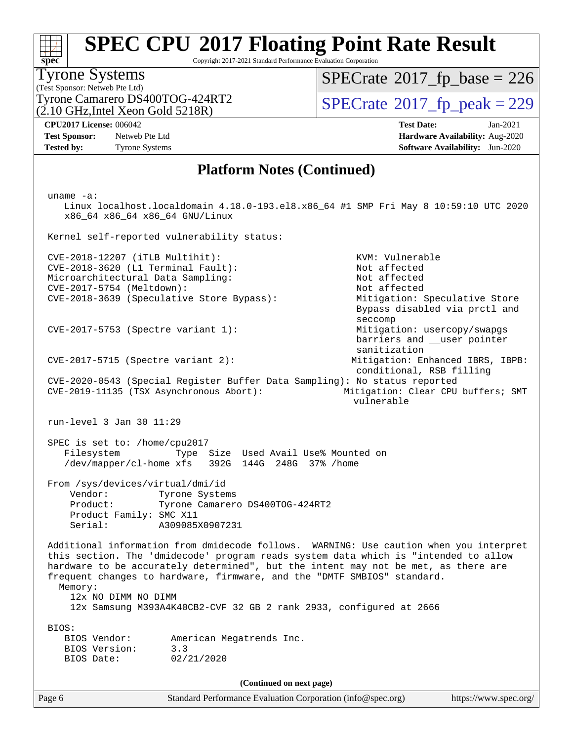# **[SPEC CPU](http://www.spec.org/auto/cpu2017/Docs/result-fields.html#SPECCPU2017FloatingPointRateResult)[2017 Floating Point Rate Result](http://www.spec.org/auto/cpu2017/Docs/result-fields.html#SPECCPU2017FloatingPointRateResult)**

Copyright 2017-2021 Standard Performance Evaluation Corporation

#### (Test Sponsor: Netweb Pte Ltd) Tyrone Systems (2.10 GHz,Intel Xeon Gold 5218R)

 $SPECTate$ <sup>®</sup>[2017\\_fp\\_base =](http://www.spec.org/auto/cpu2017/Docs/result-fields.html#SPECrate2017fpbase) 226

Tyrone Camarero DS400TOG-424RT2  $\vert$  [SPECrate](http://www.spec.org/auto/cpu2017/Docs/result-fields.html#SPECrate2017fppeak)®[2017\\_fp\\_peak = 2](http://www.spec.org/auto/cpu2017/Docs/result-fields.html#SPECrate2017fppeak)29

**[Tested by:](http://www.spec.org/auto/cpu2017/Docs/result-fields.html#Testedby)** Tyrone Systems **[Software Availability:](http://www.spec.org/auto/cpu2017/Docs/result-fields.html#SoftwareAvailability)** Jun-2020

**[CPU2017 License:](http://www.spec.org/auto/cpu2017/Docs/result-fields.html#CPU2017License)** 006042 **[Test Date:](http://www.spec.org/auto/cpu2017/Docs/result-fields.html#TestDate)** Jan-2021 **[Test Sponsor:](http://www.spec.org/auto/cpu2017/Docs/result-fields.html#TestSponsor)** Netweb Pte Ltd **[Hardware Availability:](http://www.spec.org/auto/cpu2017/Docs/result-fields.html#HardwareAvailability)** Aug-2020

### **[Platform Notes \(Continued\)](http://www.spec.org/auto/cpu2017/Docs/result-fields.html#PlatformNotes)**

 uname -a: Linux localhost.localdomain 4.18.0-193.el8.x86\_64 #1 SMP Fri May 8 10:59:10 UTC 2020 x86\_64 x86\_64 x86\_64 GNU/Linux Kernel self-reported vulnerability status: CVE-2018-12207 (iTLB Multihit): KVM: Vulnerable CVE-2018-3620 (L1 Terminal Fault): Not affected<br>Microarchitectural Data Sampling: Not affected Microarchitectural Data Sampling: CVE-2017-5754 (Meltdown): Not affected CVE-2018-3639 (Speculative Store Bypass): Mitigation: Speculative Store Bypass disabled via prctl and seccomp CVE-2017-5753 (Spectre variant 1): Mitigation: usercopy/swapgs barriers and \_\_user pointer sanitization CVE-2017-5715 (Spectre variant 2): Mitigation: Enhanced IBRS, IBPB: conditional, RSB filling CVE-2020-0543 (Special Register Buffer Data Sampling): No status reported CVE-2019-11135 (TSX Asynchronous Abort): Mitigation: Clear CPU buffers; SMT vulnerable run-level 3 Jan 30 11:29 SPEC is set to: /home/cpu2017 Filesystem Type Size Used Avail Use% Mounted on /dev/mapper/cl-home xfs 392G 144G 248G 37% /home From /sys/devices/virtual/dmi/id Vendor: Tyrone Systems<br>Product: Tyrone Camarero Tyrone Camarero DS400TOG-424RT2 Product Family: SMC X11 Serial: A309085X0907231 Additional information from dmidecode follows. WARNING: Use caution when you interpret this section. The 'dmidecode' program reads system data which is "intended to allow hardware to be accurately determined", but the intent may not be met, as there are frequent changes to hardware, firmware, and the "DMTF SMBIOS" standard. Memory: 12x NO DIMM NO DIMM 12x Samsung M393A4K40CB2-CVF 32 GB 2 rank 2933, configured at 2666 BIOS: BIOS Vendor: American Megatrends Inc. BIOS Version: 3.3 BIOS Date: 02/21/2020 **(Continued on next page)**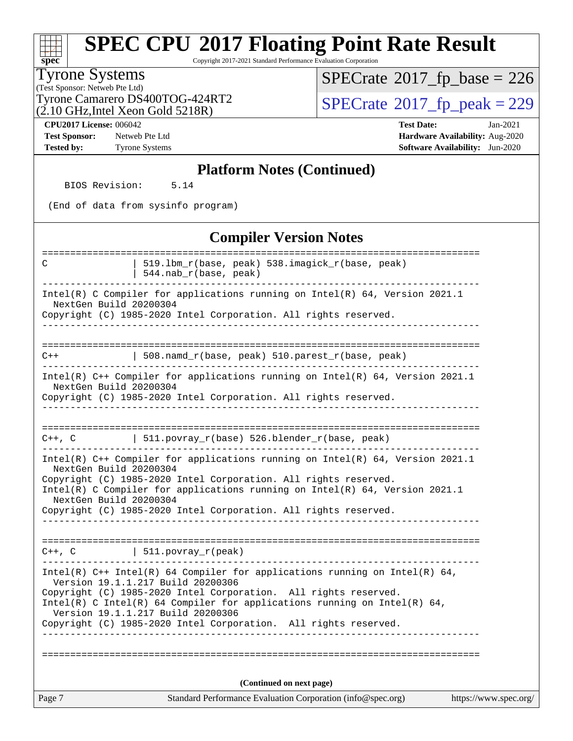Copyright 2017-2021 Standard Performance Evaluation Corporation

#### Tyrone Systems

**[spec](http://www.spec.org/)**

(Test Sponsor: Netweb Pte Ltd) (2.10 GHz,Intel Xeon Gold 5218R)  $SPECrate$ <sup>®</sup>[2017\\_fp\\_base =](http://www.spec.org/auto/cpu2017/Docs/result-fields.html#SPECrate2017fpbase) 226

Tyrone Camarero DS400TOG-424RT2<br>(2.10 GHz.Intel Xeon Gold 5218R)  $\text{SPECrate}$  $\text{SPECrate}$  $\text{SPECrate}$ <sup>®</sup>[2017\\_fp\\_peak = 2](http://www.spec.org/auto/cpu2017/Docs/result-fields.html#SPECrate2017fppeak)29

**[CPU2017 License:](http://www.spec.org/auto/cpu2017/Docs/result-fields.html#CPU2017License)** 006042 **[Test Date:](http://www.spec.org/auto/cpu2017/Docs/result-fields.html#TestDate)** Jan-2021 **[Test Sponsor:](http://www.spec.org/auto/cpu2017/Docs/result-fields.html#TestSponsor)** Netweb Pte Ltd **[Hardware Availability:](http://www.spec.org/auto/cpu2017/Docs/result-fields.html#HardwareAvailability)** Aug-2020 **[Tested by:](http://www.spec.org/auto/cpu2017/Docs/result-fields.html#Testedby)** Tyrone Systems **[Software Availability:](http://www.spec.org/auto/cpu2017/Docs/result-fields.html#SoftwareAvailability)** Jun-2020

#### **[Platform Notes \(Continued\)](http://www.spec.org/auto/cpu2017/Docs/result-fields.html#PlatformNotes)**

BIOS Revision: 5.14

(End of data from sysinfo program)

#### **[Compiler Version Notes](http://www.spec.org/auto/cpu2017/Docs/result-fields.html#CompilerVersionNotes)**

| Page 7                 | Standard Performance Evaluation Corporation (info@spec.org)                                                                                       | https://www.spec.org/ |
|------------------------|---------------------------------------------------------------------------------------------------------------------------------------------------|-----------------------|
|                        | (Continued on next page)                                                                                                                          |                       |
|                        |                                                                                                                                                   |                       |
|                        | Copyright (C) 1985-2020 Intel Corporation. All rights reserved.                                                                                   |                       |
|                        | Intel(R) C Intel(R) 64 Compiler for applications running on Intel(R) 64,<br>Version 19.1.1.217 Build 20200306                                     |                       |
|                        | Version 19.1.1.217 Build 20200306<br>Copyright (C) 1985-2020 Intel Corporation. All rights reserved.                                              |                       |
|                        | Intel(R) C++ Intel(R) 64 Compiler for applications running on Intel(R) 64,                                                                        |                       |
|                        | $C++$ , $C$   511.povray_r(peak)                                                                                                                  |                       |
|                        |                                                                                                                                                   |                       |
| NextGen Build 20200304 | Copyright (C) 1985-2020 Intel Corporation. All rights reserved.                                                                                   |                       |
|                        | Copyright (C) 1985-2020 Intel Corporation. All rights reserved.<br>Intel(R) C Compiler for applications running on $Intel(R) 64$ , Version 2021.1 |                       |
| NextGen Build 20200304 | Intel(R) $C++$ Compiler for applications running on Intel(R) 64, Version 2021.1                                                                   |                       |
|                        | $C++$ , C $\qquad$   511.povray_r(base) 526.blender_r(base, peak)                                                                                 |                       |
|                        |                                                                                                                                                   |                       |
|                        |                                                                                                                                                   |                       |
| NextGen Build 20200304 | Copyright (C) 1985-2020 Intel Corporation. All rights reserved.                                                                                   |                       |
|                        | Intel(R) $C++$ Compiler for applications running on Intel(R) 64, Version 2021.1                                                                   |                       |
| $C++$                  | 508.namd_r(base, peak) 510.parest_r(base, peak)                                                                                                   |                       |
|                        |                                                                                                                                                   |                       |
| NextGen Build 20200304 | Copyright (C) 1985-2020 Intel Corporation. All rights reserved.                                                                                   |                       |
|                        | Intel(R) C Compiler for applications running on $Intel(R) 64$ , Version 2021.1                                                                    |                       |
|                        | $544.nab_r(base, peak)$                                                                                                                           |                       |
| C                      | 519.1bm_r(base, peak) 538.imagick_r(base, peak)                                                                                                   |                       |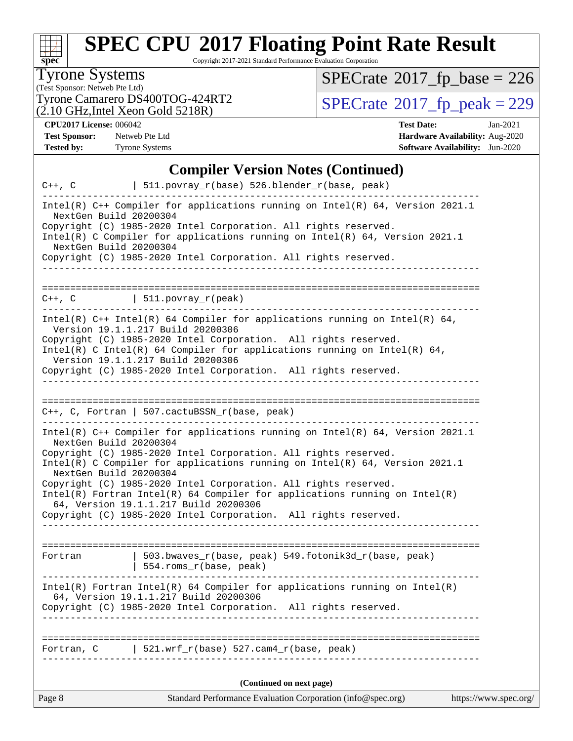

Copyright 2017-2021 Standard Performance Evaluation Corporation

### Tyrone Systems

(Test Sponsor: Netweb Pte Ltd)<br>Tyrone Camarero DS400TOG-424RT2  $(2.10 \text{ GHz}, \text{Intel} \text{ Xeon} \text{ Gold } 5218\text{R})$ 

 $SPECrate$ <sup>®</sup>[2017\\_fp\\_base =](http://www.spec.org/auto/cpu2017/Docs/result-fields.html#SPECrate2017fpbase) 226

 $SPECTate@2017_fp\_peak = 229$ 

**[Tested by:](http://www.spec.org/auto/cpu2017/Docs/result-fields.html#Testedby)** Tyrone Systems **[Software Availability:](http://www.spec.org/auto/cpu2017/Docs/result-fields.html#SoftwareAvailability)** Jun-2020

**[CPU2017 License:](http://www.spec.org/auto/cpu2017/Docs/result-fields.html#CPU2017License)** 006042 **[Test Date:](http://www.spec.org/auto/cpu2017/Docs/result-fields.html#TestDate)** Jan-2021 **[Test Sponsor:](http://www.spec.org/auto/cpu2017/Docs/result-fields.html#TestSponsor)** Netweb Pte Ltd **[Hardware Availability:](http://www.spec.org/auto/cpu2017/Docs/result-fields.html#HardwareAvailability)** Aug-2020

### **[Compiler Version Notes \(Continued\)](http://www.spec.org/auto/cpu2017/Docs/result-fields.html#CompilerVersionNotes)**

| $C++$ , $C$                                      | $511.povray_r(base) 526.blender_r(base, peak)$                                                                                                                                                                                                                                                                                                                                                                                   |                       |
|--------------------------------------------------|----------------------------------------------------------------------------------------------------------------------------------------------------------------------------------------------------------------------------------------------------------------------------------------------------------------------------------------------------------------------------------------------------------------------------------|-----------------------|
| NextGen Build 20200304<br>NextGen Build 20200304 | Intel(R) $C++$ Compiler for applications running on Intel(R) 64, Version 2021.1<br>Copyright (C) 1985-2020 Intel Corporation. All rights reserved.<br>Intel(R) C Compiler for applications running on $Intel(R) 64$ , Version 2021.1<br>Copyright (C) 1985-2020 Intel Corporation. All rights reserved.                                                                                                                          |                       |
|                                                  |                                                                                                                                                                                                                                                                                                                                                                                                                                  |                       |
|                                                  | $C++$ , $C$   511.povray_r(peak)                                                                                                                                                                                                                                                                                                                                                                                                 |                       |
|                                                  | Intel(R) C++ Intel(R) 64 Compiler for applications running on Intel(R) 64,<br>Version 19.1.1.217 Build 20200306<br>Copyright (C) 1985-2020 Intel Corporation. All rights reserved.<br>Intel(R) C Intel(R) 64 Compiler for applications running on Intel(R) 64,<br>Version 19.1.1.217 Build 20200306<br>Copyright (C) 1985-2020 Intel Corporation. All rights reserved.                                                           |                       |
|                                                  | $C++$ , C, Fortran   507.cactuBSSN_r(base, peak)                                                                                                                                                                                                                                                                                                                                                                                 |                       |
| NextGen Build 20200304<br>NextGen Build 20200304 | Intel(R) $C++$ Compiler for applications running on Intel(R) 64, Version 2021.1<br>Copyright (C) 1985-2020 Intel Corporation. All rights reserved.<br>Intel(R) C Compiler for applications running on $Intel(R) 64$ , Version 2021.1<br>Copyright (C) 1985-2020 Intel Corporation. All rights reserved.<br>$Intel(R)$ Fortran Intel(R) 64 Compiler for applications running on Intel(R)<br>64, Version 19.1.1.217 Build 20200306 |                       |
|                                                  | Copyright (C) 1985-2020 Intel Corporation. All rights reserved.                                                                                                                                                                                                                                                                                                                                                                  |                       |
| Fortran                                          | 503.bwaves_r(base, peak) 549.fotonik3d_r(base, peak)<br>  554.roms_r(base, peak)                                                                                                                                                                                                                                                                                                                                                 |                       |
|                                                  | $Intel(R)$ Fortran Intel(R) 64 Compiler for applications running on Intel(R)<br>64, Version 19.1.1.217 Build 20200306<br>Copyright (C) 1985-2020 Intel Corporation. All rights reserved.                                                                                                                                                                                                                                         |                       |
| Fortran, C                                       | $\vert$ 521.wrf_r(base) 527.cam4_r(base, peak)                                                                                                                                                                                                                                                                                                                                                                                   |                       |
|                                                  | (Continued on next page)                                                                                                                                                                                                                                                                                                                                                                                                         |                       |
| Page 8                                           | Standard Performance Evaluation Corporation (info@spec.org)                                                                                                                                                                                                                                                                                                                                                                      | https://www.spec.org/ |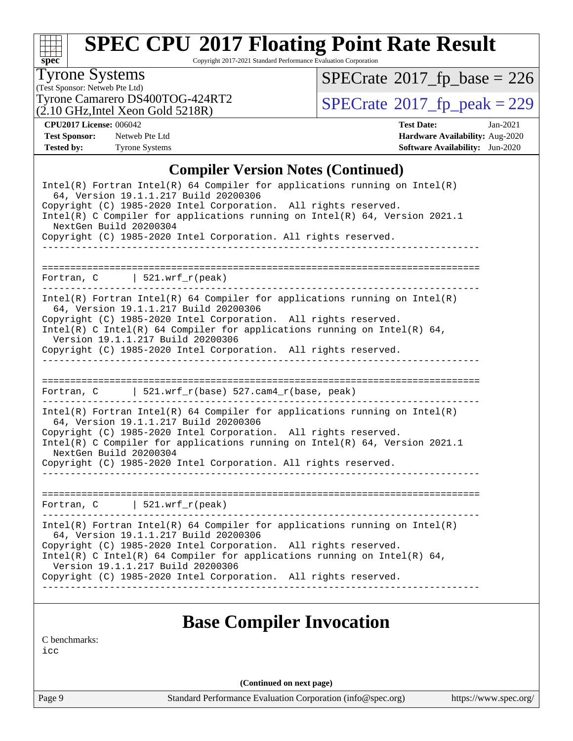

Copyright 2017-2021 Standard Performance Evaluation Corporation

### Tyrone Systems

(Test Sponsor: Netweb Pte Ltd)  $(2.10 \text{ GHz}, \text{Intel} \text{ Xeon} \text{ Gold } 5218\text{R})$   $SPECrate$ <sup>®</sup>[2017\\_fp\\_base =](http://www.spec.org/auto/cpu2017/Docs/result-fields.html#SPECrate2017fpbase) 226

Tyrone Camarero DS400TOG-424RT2<br>(2.10 GHz.Intel Xeon Gold 5218R)  $\text{SPECrate}$  $\text{SPECrate}$  $\text{SPECrate}$ <sup>®</sup>[2017\\_fp\\_peak = 2](http://www.spec.org/auto/cpu2017/Docs/result-fields.html#SPECrate2017fppeak)29

**[CPU2017 License:](http://www.spec.org/auto/cpu2017/Docs/result-fields.html#CPU2017License)** 006042 **[Test Date:](http://www.spec.org/auto/cpu2017/Docs/result-fields.html#TestDate)** Jan-2021 **[Test Sponsor:](http://www.spec.org/auto/cpu2017/Docs/result-fields.html#TestSponsor)** Netweb Pte Ltd **[Hardware Availability:](http://www.spec.org/auto/cpu2017/Docs/result-fields.html#HardwareAvailability)** Aug-2020 **[Tested by:](http://www.spec.org/auto/cpu2017/Docs/result-fields.html#Testedby)** Tyrone Systems **[Software Availability:](http://www.spec.org/auto/cpu2017/Docs/result-fields.html#SoftwareAvailability)** Jun-2020

### **[Compiler Version Notes \(Continued\)](http://www.spec.org/auto/cpu2017/Docs/result-fields.html#CompilerVersionNotes)**

| $Intel(R)$ Fortran Intel(R) 64 Compiler for applications running on Intel(R)                                  |  |  |  |  |  |  |  |
|---------------------------------------------------------------------------------------------------------------|--|--|--|--|--|--|--|
| 64, Version 19.1.1.217 Build 20200306<br>Copyright (C) 1985-2020 Intel Corporation. All rights reserved.      |  |  |  |  |  |  |  |
| Intel(R) C Compiler for applications running on $Intel(R) 64$ , Version 2021.1                                |  |  |  |  |  |  |  |
| NextGen Build 20200304                                                                                        |  |  |  |  |  |  |  |
| Copyright (C) 1985-2020 Intel Corporation. All rights reserved.                                               |  |  |  |  |  |  |  |
| _________________________________                                                                             |  |  |  |  |  |  |  |
|                                                                                                               |  |  |  |  |  |  |  |
| Fortran, $C$   521.wrf_r(peak)<br>----------------------<br>-------------------------------                   |  |  |  |  |  |  |  |
| $Intel(R)$ Fortran Intel(R) 64 Compiler for applications running on Intel(R)                                  |  |  |  |  |  |  |  |
| 64, Version 19.1.1.217 Build 20200306                                                                         |  |  |  |  |  |  |  |
| Copyright (C) 1985-2020 Intel Corporation. All rights reserved.                                               |  |  |  |  |  |  |  |
| Intel(R) C Intel(R) 64 Compiler for applications running on Intel(R) 64,<br>Version 19.1.1.217 Build 20200306 |  |  |  |  |  |  |  |
| Copyright (C) 1985-2020 Intel Corporation. All rights reserved.                                               |  |  |  |  |  |  |  |
|                                                                                                               |  |  |  |  |  |  |  |
|                                                                                                               |  |  |  |  |  |  |  |
| Fortran, $C$   521.wrf_r(base) 527.cam4_r(base, peak)                                                         |  |  |  |  |  |  |  |
| ______________________                                                                                        |  |  |  |  |  |  |  |
| $Intel(R)$ Fortran Intel(R) 64 Compiler for applications running on Intel(R)                                  |  |  |  |  |  |  |  |
| 64, Version 19.1.1.217 Build 20200306                                                                         |  |  |  |  |  |  |  |
| Copyright (C) 1985-2020 Intel Corporation. All rights reserved.                                               |  |  |  |  |  |  |  |
| Intel(R) C Compiler for applications running on $Intel(R) 64$ , Version 2021.1<br>NextGen Build 20200304      |  |  |  |  |  |  |  |
| Copyright (C) 1985-2020 Intel Corporation. All rights reserved.                                               |  |  |  |  |  |  |  |
|                                                                                                               |  |  |  |  |  |  |  |
|                                                                                                               |  |  |  |  |  |  |  |
| Fortran, $C$   521.wrf_r(peak)                                                                                |  |  |  |  |  |  |  |
| $Intel(R)$ Fortran Intel(R) 64 Compiler for applications running on Intel(R)                                  |  |  |  |  |  |  |  |
| 64, Version 19.1.1.217 Build 20200306                                                                         |  |  |  |  |  |  |  |
| Copyright (C) 1985-2020 Intel Corporation. All rights reserved.                                               |  |  |  |  |  |  |  |
| Intel(R) C Intel(R) 64 Compiler for applications running on Intel(R) 64,                                      |  |  |  |  |  |  |  |
| Version 19.1.1.217 Build 20200306<br>Copyright (C) 1985-2020 Intel Corporation. All rights reserved.          |  |  |  |  |  |  |  |
|                                                                                                               |  |  |  |  |  |  |  |
|                                                                                                               |  |  |  |  |  |  |  |
|                                                                                                               |  |  |  |  |  |  |  |
| <b>Base Compiler Invocation</b>                                                                               |  |  |  |  |  |  |  |
| C benchmarks:                                                                                                 |  |  |  |  |  |  |  |
| icc                                                                                                           |  |  |  |  |  |  |  |
|                                                                                                               |  |  |  |  |  |  |  |
| (Continued on next page)                                                                                      |  |  |  |  |  |  |  |

Page 9 Standard Performance Evaluation Corporation [\(info@spec.org\)](mailto:info@spec.org) <https://www.spec.org/>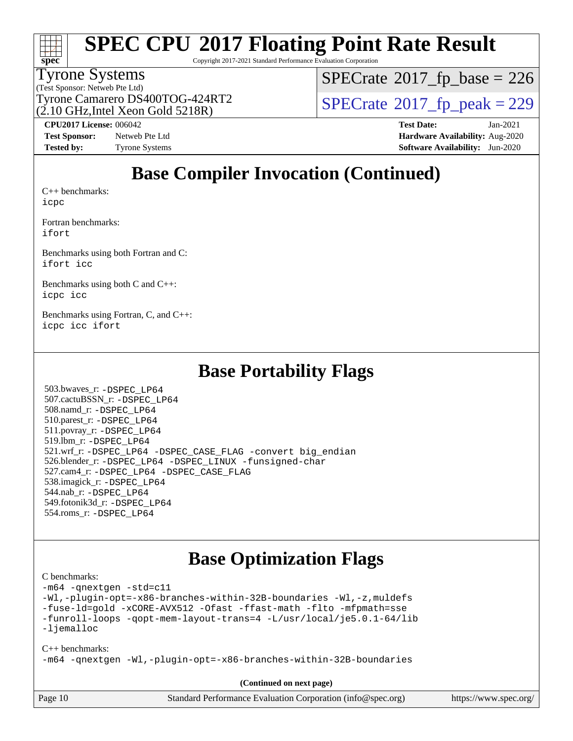

Copyright 2017-2021 Standard Performance Evaluation Corporation

#### Tyrone Systems

(Test Sponsor: Netweb Pte Ltd)  $(2.10 \text{ GHz}$ , Intel Xeon Gold 5218R)  $SPECTate$ <sup>®</sup>[2017\\_fp\\_base =](http://www.spec.org/auto/cpu2017/Docs/result-fields.html#SPECrate2017fpbase) 226

Tyrone Camarero DS400TOG-424RT2  $\vert$  [SPECrate](http://www.spec.org/auto/cpu2017/Docs/result-fields.html#SPECrate2017fppeak)®[2017\\_fp\\_peak = 2](http://www.spec.org/auto/cpu2017/Docs/result-fields.html#SPECrate2017fppeak)29

**[Test Sponsor:](http://www.spec.org/auto/cpu2017/Docs/result-fields.html#TestSponsor)** Netweb Pte Ltd **[Hardware Availability:](http://www.spec.org/auto/cpu2017/Docs/result-fields.html#HardwareAvailability)** Aug-2020

**[CPU2017 License:](http://www.spec.org/auto/cpu2017/Docs/result-fields.html#CPU2017License)** 006042 **[Test Date:](http://www.spec.org/auto/cpu2017/Docs/result-fields.html#TestDate)** Jan-2021 **[Tested by:](http://www.spec.org/auto/cpu2017/Docs/result-fields.html#Testedby)** Tyrone Systems **[Software Availability:](http://www.spec.org/auto/cpu2017/Docs/result-fields.html#SoftwareAvailability)** Jun-2020

### **[Base Compiler Invocation \(Continued\)](http://www.spec.org/auto/cpu2017/Docs/result-fields.html#BaseCompilerInvocation)**

[C++ benchmarks:](http://www.spec.org/auto/cpu2017/Docs/result-fields.html#CXXbenchmarks) [icpc](http://www.spec.org/cpu2017/results/res2021q1/cpu2017-20210222-24974.flags.html#user_CXXbase_intel_icpc_c510b6838c7f56d33e37e94d029a35b4a7bccf4766a728ee175e80a419847e808290a9b78be685c44ab727ea267ec2f070ec5dc83b407c0218cded6866a35d07)

[Fortran benchmarks](http://www.spec.org/auto/cpu2017/Docs/result-fields.html#Fortranbenchmarks): [ifort](http://www.spec.org/cpu2017/results/res2021q1/cpu2017-20210222-24974.flags.html#user_FCbase_intel_ifort_8111460550e3ca792625aed983ce982f94888b8b503583aa7ba2b8303487b4d8a21a13e7191a45c5fd58ff318f48f9492884d4413fa793fd88dd292cad7027ca)

[Benchmarks using both Fortran and C](http://www.spec.org/auto/cpu2017/Docs/result-fields.html#BenchmarksusingbothFortranandC): [ifort](http://www.spec.org/cpu2017/results/res2021q1/cpu2017-20210222-24974.flags.html#user_CC_FCbase_intel_ifort_8111460550e3ca792625aed983ce982f94888b8b503583aa7ba2b8303487b4d8a21a13e7191a45c5fd58ff318f48f9492884d4413fa793fd88dd292cad7027ca) [icc](http://www.spec.org/cpu2017/results/res2021q1/cpu2017-20210222-24974.flags.html#user_CC_FCbase_intel_icc_66fc1ee009f7361af1fbd72ca7dcefbb700085f36577c54f309893dd4ec40d12360134090235512931783d35fd58c0460139e722d5067c5574d8eaf2b3e37e92)

[Benchmarks using both C and C++](http://www.spec.org/auto/cpu2017/Docs/result-fields.html#BenchmarksusingbothCandCXX): [icpc](http://www.spec.org/cpu2017/results/res2021q1/cpu2017-20210222-24974.flags.html#user_CC_CXXbase_intel_icpc_c510b6838c7f56d33e37e94d029a35b4a7bccf4766a728ee175e80a419847e808290a9b78be685c44ab727ea267ec2f070ec5dc83b407c0218cded6866a35d07) [icc](http://www.spec.org/cpu2017/results/res2021q1/cpu2017-20210222-24974.flags.html#user_CC_CXXbase_intel_icc_66fc1ee009f7361af1fbd72ca7dcefbb700085f36577c54f309893dd4ec40d12360134090235512931783d35fd58c0460139e722d5067c5574d8eaf2b3e37e92)

[Benchmarks using Fortran, C, and C++:](http://www.spec.org/auto/cpu2017/Docs/result-fields.html#BenchmarksusingFortranCandCXX) [icpc](http://www.spec.org/cpu2017/results/res2021q1/cpu2017-20210222-24974.flags.html#user_CC_CXX_FCbase_intel_icpc_c510b6838c7f56d33e37e94d029a35b4a7bccf4766a728ee175e80a419847e808290a9b78be685c44ab727ea267ec2f070ec5dc83b407c0218cded6866a35d07) [icc](http://www.spec.org/cpu2017/results/res2021q1/cpu2017-20210222-24974.flags.html#user_CC_CXX_FCbase_intel_icc_66fc1ee009f7361af1fbd72ca7dcefbb700085f36577c54f309893dd4ec40d12360134090235512931783d35fd58c0460139e722d5067c5574d8eaf2b3e37e92) [ifort](http://www.spec.org/cpu2017/results/res2021q1/cpu2017-20210222-24974.flags.html#user_CC_CXX_FCbase_intel_ifort_8111460550e3ca792625aed983ce982f94888b8b503583aa7ba2b8303487b4d8a21a13e7191a45c5fd58ff318f48f9492884d4413fa793fd88dd292cad7027ca)

### **[Base Portability Flags](http://www.spec.org/auto/cpu2017/Docs/result-fields.html#BasePortabilityFlags)**

 503.bwaves\_r: [-DSPEC\\_LP64](http://www.spec.org/cpu2017/results/res2021q1/cpu2017-20210222-24974.flags.html#suite_basePORTABILITY503_bwaves_r_DSPEC_LP64) 507.cactuBSSN\_r: [-DSPEC\\_LP64](http://www.spec.org/cpu2017/results/res2021q1/cpu2017-20210222-24974.flags.html#suite_basePORTABILITY507_cactuBSSN_r_DSPEC_LP64) 508.namd\_r: [-DSPEC\\_LP64](http://www.spec.org/cpu2017/results/res2021q1/cpu2017-20210222-24974.flags.html#suite_basePORTABILITY508_namd_r_DSPEC_LP64) 510.parest\_r: [-DSPEC\\_LP64](http://www.spec.org/cpu2017/results/res2021q1/cpu2017-20210222-24974.flags.html#suite_basePORTABILITY510_parest_r_DSPEC_LP64) 511.povray\_r: [-DSPEC\\_LP64](http://www.spec.org/cpu2017/results/res2021q1/cpu2017-20210222-24974.flags.html#suite_basePORTABILITY511_povray_r_DSPEC_LP64) 519.lbm\_r: [-DSPEC\\_LP64](http://www.spec.org/cpu2017/results/res2021q1/cpu2017-20210222-24974.flags.html#suite_basePORTABILITY519_lbm_r_DSPEC_LP64) 521.wrf\_r: [-DSPEC\\_LP64](http://www.spec.org/cpu2017/results/res2021q1/cpu2017-20210222-24974.flags.html#suite_basePORTABILITY521_wrf_r_DSPEC_LP64) [-DSPEC\\_CASE\\_FLAG](http://www.spec.org/cpu2017/results/res2021q1/cpu2017-20210222-24974.flags.html#b521.wrf_r_baseCPORTABILITY_DSPEC_CASE_FLAG) [-convert big\\_endian](http://www.spec.org/cpu2017/results/res2021q1/cpu2017-20210222-24974.flags.html#user_baseFPORTABILITY521_wrf_r_convert_big_endian_c3194028bc08c63ac5d04de18c48ce6d347e4e562e8892b8bdbdc0214820426deb8554edfa529a3fb25a586e65a3d812c835984020483e7e73212c4d31a38223) 526.blender\_r: [-DSPEC\\_LP64](http://www.spec.org/cpu2017/results/res2021q1/cpu2017-20210222-24974.flags.html#suite_basePORTABILITY526_blender_r_DSPEC_LP64) [-DSPEC\\_LINUX](http://www.spec.org/cpu2017/results/res2021q1/cpu2017-20210222-24974.flags.html#b526.blender_r_baseCPORTABILITY_DSPEC_LINUX) [-funsigned-char](http://www.spec.org/cpu2017/results/res2021q1/cpu2017-20210222-24974.flags.html#user_baseCPORTABILITY526_blender_r_force_uchar_40c60f00ab013830e2dd6774aeded3ff59883ba5a1fc5fc14077f794d777847726e2a5858cbc7672e36e1b067e7e5c1d9a74f7176df07886a243d7cc18edfe67) 527.cam4\_r: [-DSPEC\\_LP64](http://www.spec.org/cpu2017/results/res2021q1/cpu2017-20210222-24974.flags.html#suite_basePORTABILITY527_cam4_r_DSPEC_LP64) [-DSPEC\\_CASE\\_FLAG](http://www.spec.org/cpu2017/results/res2021q1/cpu2017-20210222-24974.flags.html#b527.cam4_r_baseCPORTABILITY_DSPEC_CASE_FLAG) 538.imagick\_r: [-DSPEC\\_LP64](http://www.spec.org/cpu2017/results/res2021q1/cpu2017-20210222-24974.flags.html#suite_basePORTABILITY538_imagick_r_DSPEC_LP64) 544.nab\_r: [-DSPEC\\_LP64](http://www.spec.org/cpu2017/results/res2021q1/cpu2017-20210222-24974.flags.html#suite_basePORTABILITY544_nab_r_DSPEC_LP64) 549.fotonik3d\_r: [-DSPEC\\_LP64](http://www.spec.org/cpu2017/results/res2021q1/cpu2017-20210222-24974.flags.html#suite_basePORTABILITY549_fotonik3d_r_DSPEC_LP64) 554.roms\_r: [-DSPEC\\_LP64](http://www.spec.org/cpu2017/results/res2021q1/cpu2017-20210222-24974.flags.html#suite_basePORTABILITY554_roms_r_DSPEC_LP64)

### **[Base Optimization Flags](http://www.spec.org/auto/cpu2017/Docs/result-fields.html#BaseOptimizationFlags)**

[C benchmarks](http://www.spec.org/auto/cpu2017/Docs/result-fields.html#Cbenchmarks):

[-m64](http://www.spec.org/cpu2017/results/res2021q1/cpu2017-20210222-24974.flags.html#user_CCbase_m64-icc) [-qnextgen](http://www.spec.org/cpu2017/results/res2021q1/cpu2017-20210222-24974.flags.html#user_CCbase_f-qnextgen) [-std=c11](http://www.spec.org/cpu2017/results/res2021q1/cpu2017-20210222-24974.flags.html#user_CCbase_std-icc-std_0e1c27790398a4642dfca32ffe6c27b5796f9c2d2676156f2e42c9c44eaad0c049b1cdb667a270c34d979996257aeb8fc440bfb01818dbc9357bd9d174cb8524) [-Wl,-plugin-opt=-x86-branches-within-32B-boundaries](http://www.spec.org/cpu2017/results/res2021q1/cpu2017-20210222-24974.flags.html#user_CCbase_f-x86-branches-within-32B-boundaries_0098b4e4317ae60947b7b728078a624952a08ac37a3c797dfb4ffeb399e0c61a9dd0f2f44ce917e9361fb9076ccb15e7824594512dd315205382d84209e912f3) [-Wl,-z,muldefs](http://www.spec.org/cpu2017/results/res2021q1/cpu2017-20210222-24974.flags.html#user_CCbase_link_force_multiple1_b4cbdb97b34bdee9ceefcfe54f4c8ea74255f0b02a4b23e853cdb0e18eb4525ac79b5a88067c842dd0ee6996c24547a27a4b99331201badda8798ef8a743f577) [-fuse-ld=gold](http://www.spec.org/cpu2017/results/res2021q1/cpu2017-20210222-24974.flags.html#user_CCbase_f-fuse-ld_920b3586e2b8c6e0748b9c84fa9b744736ba725a32cab14ad8f3d4ad28eecb2f59d1144823d2e17006539a88734fe1fc08fc3035f7676166309105a78aaabc32) [-xCORE-AVX512](http://www.spec.org/cpu2017/results/res2021q1/cpu2017-20210222-24974.flags.html#user_CCbase_f-xCORE-AVX512) [-Ofast](http://www.spec.org/cpu2017/results/res2021q1/cpu2017-20210222-24974.flags.html#user_CCbase_f-Ofast) [-ffast-math](http://www.spec.org/cpu2017/results/res2021q1/cpu2017-20210222-24974.flags.html#user_CCbase_f-ffast-math) [-flto](http://www.spec.org/cpu2017/results/res2021q1/cpu2017-20210222-24974.flags.html#user_CCbase_f-flto) [-mfpmath=sse](http://www.spec.org/cpu2017/results/res2021q1/cpu2017-20210222-24974.flags.html#user_CCbase_f-mfpmath_70eb8fac26bde974f8ab713bc9086c5621c0b8d2f6c86f38af0bd7062540daf19db5f3a066d8c6684be05d84c9b6322eb3b5be6619d967835195b93d6c02afa1) [-funroll-loops](http://www.spec.org/cpu2017/results/res2021q1/cpu2017-20210222-24974.flags.html#user_CCbase_f-funroll-loops) [-qopt-mem-layout-trans=4](http://www.spec.org/cpu2017/results/res2021q1/cpu2017-20210222-24974.flags.html#user_CCbase_f-qopt-mem-layout-trans_fa39e755916c150a61361b7846f310bcdf6f04e385ef281cadf3647acec3f0ae266d1a1d22d972a7087a248fd4e6ca390a3634700869573d231a252c784941a8) [-L/usr/local/je5.0.1-64/lib](http://www.spec.org/cpu2017/results/res2021q1/cpu2017-20210222-24974.flags.html#user_CCbase_jemalloc_link_path64_4b10a636b7bce113509b17f3bd0d6226c5fb2346b9178c2d0232c14f04ab830f976640479e5c33dc2bcbbdad86ecfb6634cbbd4418746f06f368b512fced5394) [-ljemalloc](http://www.spec.org/cpu2017/results/res2021q1/cpu2017-20210222-24974.flags.html#user_CCbase_jemalloc_link_lib_d1249b907c500fa1c0672f44f562e3d0f79738ae9e3c4a9c376d49f265a04b9c99b167ecedbf6711b3085be911c67ff61f150a17b3472be731631ba4d0471706) [C++ benchmarks:](http://www.spec.org/auto/cpu2017/Docs/result-fields.html#CXXbenchmarks)

[-m64](http://www.spec.org/cpu2017/results/res2021q1/cpu2017-20210222-24974.flags.html#user_CXXbase_m64-icc) [-qnextgen](http://www.spec.org/cpu2017/results/res2021q1/cpu2017-20210222-24974.flags.html#user_CXXbase_f-qnextgen) [-Wl,-plugin-opt=-x86-branches-within-32B-boundaries](http://www.spec.org/cpu2017/results/res2021q1/cpu2017-20210222-24974.flags.html#user_CXXbase_f-x86-branches-within-32B-boundaries_0098b4e4317ae60947b7b728078a624952a08ac37a3c797dfb4ffeb399e0c61a9dd0f2f44ce917e9361fb9076ccb15e7824594512dd315205382d84209e912f3)

**(Continued on next page)**

| Page 10<br>Standard Performance Evaluation Corporation (info@spec.org)<br>https://www.spec.org/ |  |
|-------------------------------------------------------------------------------------------------|--|
|-------------------------------------------------------------------------------------------------|--|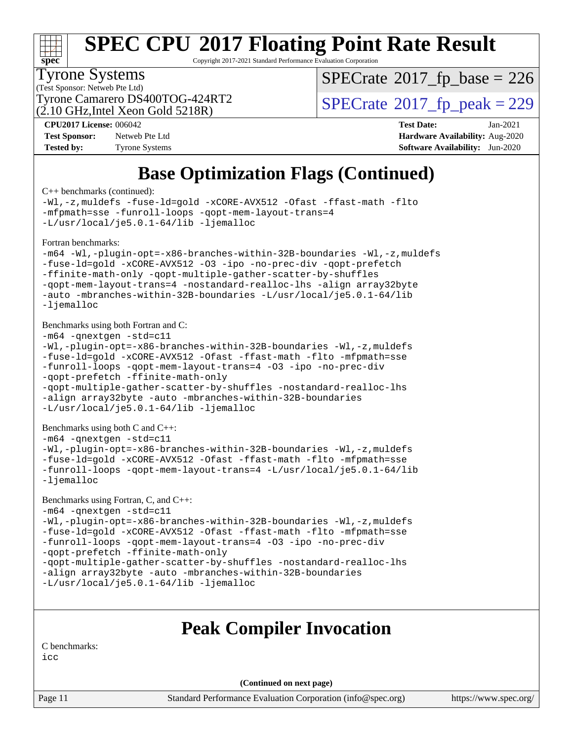

Copyright 2017-2021 Standard Performance Evaluation Corporation

#### Tyrone Systems

(Test Sponsor: Netweb Pte Ltd)  $(2.10 \text{ GHz}$ , Intel Xeon Gold 5218R)  $SPECTate$ <sup>®</sup>[2017\\_fp\\_base =](http://www.spec.org/auto/cpu2017/Docs/result-fields.html#SPECrate2017fpbase) 226

Tyrone Camarero DS400TOG-424RT2  $\vert$  [SPECrate](http://www.spec.org/auto/cpu2017/Docs/result-fields.html#SPECrate2017fppeak)®[2017\\_fp\\_peak = 2](http://www.spec.org/auto/cpu2017/Docs/result-fields.html#SPECrate2017fppeak)29

**[Test Sponsor:](http://www.spec.org/auto/cpu2017/Docs/result-fields.html#TestSponsor)** Netweb Pte Ltd **[Hardware Availability:](http://www.spec.org/auto/cpu2017/Docs/result-fields.html#HardwareAvailability)** Aug-2020 **[Tested by:](http://www.spec.org/auto/cpu2017/Docs/result-fields.html#Testedby)** Tyrone Systems **[Software Availability:](http://www.spec.org/auto/cpu2017/Docs/result-fields.html#SoftwareAvailability)** Jun-2020

**[CPU2017 License:](http://www.spec.org/auto/cpu2017/Docs/result-fields.html#CPU2017License)** 006042 **[Test Date:](http://www.spec.org/auto/cpu2017/Docs/result-fields.html#TestDate)** Jan-2021

### **[Base Optimization Flags \(Continued\)](http://www.spec.org/auto/cpu2017/Docs/result-fields.html#BaseOptimizationFlags)**

[C++ benchmarks](http://www.spec.org/auto/cpu2017/Docs/result-fields.html#CXXbenchmarks) (continued):

```
-Wl,-z,muldefs -fuse-ld=gold -xCORE-AVX512 -Ofast -ffast-math -flto
-mfpmath=sse -funroll-loops -qopt-mem-layout-trans=4
-L/usr/local/je5.0.1-64/lib -ljemalloc
Fortran benchmarks: 
-m64 -Wl,-plugin-opt=-x86-branches-within-32B-boundaries -Wl,-z,muldefs
-fuse-ld=gold -xCORE-AVX512 -O3 -ipo -no-prec-div -qopt-prefetch
-ffinite-math-only -qopt-multiple-gather-scatter-by-shuffles
-qopt-mem-layout-trans=4 -nostandard-realloc-lhs -align array32byte
-auto -mbranches-within-32B-boundaries -L/usr/local/je5.0.1-64/lib
-ljemalloc
Benchmarks using both Fortran and C: 
-m64 -qnextgen -std=c11
-Wl,-plugin-opt=-x86-branches-within-32B-boundaries -Wl,-z,muldefs
-fuse-ld=gold -xCORE-AVX512 -Ofast -ffast-math -flto -mfpmath=sse
-funroll-loops -qopt-mem-layout-trans=4 -O3 -ipo -no-prec-div
-qopt-prefetch -ffinite-math-only
-qopt-multiple-gather-scatter-by-shuffles -nostandard-realloc-lhs
-align array32byte -auto -mbranches-within-32B-boundaries
-L/usr/local/je5.0.1-64/lib -ljemalloc
Benchmarks using both C and C++: 
-m64 -qnextgen -std=c11
-Wl,-plugin-opt=-x86-branches-within-32B-boundaries -Wl,-z,muldefs
-fuse-ld=gold -xCORE-AVX512 -Ofast -ffast-math -flto -mfpmath=sse
-funroll-loops -qopt-mem-layout-trans=4 -L/usr/local/je5.0.1-64/lib
-ljemalloc
Benchmarks using Fortran, C, and C++: 
-m64 -qnextgen -std=c11
-Wl,-plugin-opt=-x86-branches-within-32B-boundaries -Wl,-z,muldefs
-fuse-ld=gold -xCORE-AVX512 -Ofast -ffast-math -flto -mfpmath=sse
-funroll-loops -qopt-mem-layout-trans=4 -O3 -ipo -no-prec-div
-qopt-prefetch -ffinite-math-only
-qopt-multiple-gather-scatter-by-shuffles -nostandard-realloc-lhs
-align array32byte -auto -mbranches-within-32B-boundaries
-L/usr/local/je5.0.1-64/lib -ljemalloc
                         Peak Compiler Invocation
```
[C benchmarks](http://www.spec.org/auto/cpu2017/Docs/result-fields.html#Cbenchmarks):

[icc](http://www.spec.org/cpu2017/results/res2021q1/cpu2017-20210222-24974.flags.html#user_CCpeak_intel_icc_66fc1ee009f7361af1fbd72ca7dcefbb700085f36577c54f309893dd4ec40d12360134090235512931783d35fd58c0460139e722d5067c5574d8eaf2b3e37e92)

**(Continued on next page)**

Page 11 Standard Performance Evaluation Corporation [\(info@spec.org\)](mailto:info@spec.org) <https://www.spec.org/>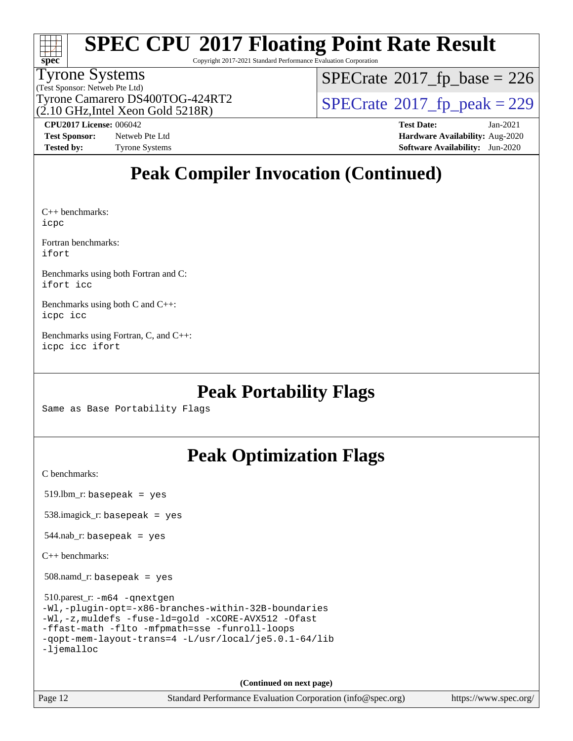

Copyright 2017-2021 Standard Performance Evaluation Corporation

#### Tyrone Systems

(Test Sponsor: Netweb Pte Ltd) (2.10 GHz,Intel Xeon Gold 5218R)  $SPECrate$ <sup>®</sup>[2017\\_fp\\_base =](http://www.spec.org/auto/cpu2017/Docs/result-fields.html#SPECrate2017fpbase) 226

Tyrone Camarero DS400TOG-424RT2  $\vert$  [SPECrate](http://www.spec.org/auto/cpu2017/Docs/result-fields.html#SPECrate2017fppeak)®[2017\\_fp\\_peak = 2](http://www.spec.org/auto/cpu2017/Docs/result-fields.html#SPECrate2017fppeak)29

**[Tested by:](http://www.spec.org/auto/cpu2017/Docs/result-fields.html#Testedby)** Tyrone Systems **[Software Availability:](http://www.spec.org/auto/cpu2017/Docs/result-fields.html#SoftwareAvailability)** Jun-2020

**[CPU2017 License:](http://www.spec.org/auto/cpu2017/Docs/result-fields.html#CPU2017License)** 006042 **[Test Date:](http://www.spec.org/auto/cpu2017/Docs/result-fields.html#TestDate)** Jan-2021 **[Test Sponsor:](http://www.spec.org/auto/cpu2017/Docs/result-fields.html#TestSponsor)** Netweb Pte Ltd **[Hardware Availability:](http://www.spec.org/auto/cpu2017/Docs/result-fields.html#HardwareAvailability)** Aug-2020

### **[Peak Compiler Invocation \(Continued\)](http://www.spec.org/auto/cpu2017/Docs/result-fields.html#PeakCompilerInvocation)**

[C++ benchmarks](http://www.spec.org/auto/cpu2017/Docs/result-fields.html#CXXbenchmarks): [icpc](http://www.spec.org/cpu2017/results/res2021q1/cpu2017-20210222-24974.flags.html#user_CXXpeak_intel_icpc_c510b6838c7f56d33e37e94d029a35b4a7bccf4766a728ee175e80a419847e808290a9b78be685c44ab727ea267ec2f070ec5dc83b407c0218cded6866a35d07)

[Fortran benchmarks:](http://www.spec.org/auto/cpu2017/Docs/result-fields.html#Fortranbenchmarks) [ifort](http://www.spec.org/cpu2017/results/res2021q1/cpu2017-20210222-24974.flags.html#user_FCpeak_intel_ifort_8111460550e3ca792625aed983ce982f94888b8b503583aa7ba2b8303487b4d8a21a13e7191a45c5fd58ff318f48f9492884d4413fa793fd88dd292cad7027ca)

[Benchmarks using both Fortran and C](http://www.spec.org/auto/cpu2017/Docs/result-fields.html#BenchmarksusingbothFortranandC): [ifort](http://www.spec.org/cpu2017/results/res2021q1/cpu2017-20210222-24974.flags.html#user_CC_FCpeak_intel_ifort_8111460550e3ca792625aed983ce982f94888b8b503583aa7ba2b8303487b4d8a21a13e7191a45c5fd58ff318f48f9492884d4413fa793fd88dd292cad7027ca) [icc](http://www.spec.org/cpu2017/results/res2021q1/cpu2017-20210222-24974.flags.html#user_CC_FCpeak_intel_icc_66fc1ee009f7361af1fbd72ca7dcefbb700085f36577c54f309893dd4ec40d12360134090235512931783d35fd58c0460139e722d5067c5574d8eaf2b3e37e92)

[Benchmarks using both C and C++:](http://www.spec.org/auto/cpu2017/Docs/result-fields.html#BenchmarksusingbothCandCXX) [icpc](http://www.spec.org/cpu2017/results/res2021q1/cpu2017-20210222-24974.flags.html#user_CC_CXXpeak_intel_icpc_c510b6838c7f56d33e37e94d029a35b4a7bccf4766a728ee175e80a419847e808290a9b78be685c44ab727ea267ec2f070ec5dc83b407c0218cded6866a35d07) [icc](http://www.spec.org/cpu2017/results/res2021q1/cpu2017-20210222-24974.flags.html#user_CC_CXXpeak_intel_icc_66fc1ee009f7361af1fbd72ca7dcefbb700085f36577c54f309893dd4ec40d12360134090235512931783d35fd58c0460139e722d5067c5574d8eaf2b3e37e92)

[Benchmarks using Fortran, C, and C++](http://www.spec.org/auto/cpu2017/Docs/result-fields.html#BenchmarksusingFortranCandCXX): [icpc](http://www.spec.org/cpu2017/results/res2021q1/cpu2017-20210222-24974.flags.html#user_CC_CXX_FCpeak_intel_icpc_c510b6838c7f56d33e37e94d029a35b4a7bccf4766a728ee175e80a419847e808290a9b78be685c44ab727ea267ec2f070ec5dc83b407c0218cded6866a35d07) [icc](http://www.spec.org/cpu2017/results/res2021q1/cpu2017-20210222-24974.flags.html#user_CC_CXX_FCpeak_intel_icc_66fc1ee009f7361af1fbd72ca7dcefbb700085f36577c54f309893dd4ec40d12360134090235512931783d35fd58c0460139e722d5067c5574d8eaf2b3e37e92) [ifort](http://www.spec.org/cpu2017/results/res2021q1/cpu2017-20210222-24974.flags.html#user_CC_CXX_FCpeak_intel_ifort_8111460550e3ca792625aed983ce982f94888b8b503583aa7ba2b8303487b4d8a21a13e7191a45c5fd58ff318f48f9492884d4413fa793fd88dd292cad7027ca)

### **[Peak Portability Flags](http://www.spec.org/auto/cpu2017/Docs/result-fields.html#PeakPortabilityFlags)**

Same as Base Portability Flags

### **[Peak Optimization Flags](http://www.spec.org/auto/cpu2017/Docs/result-fields.html#PeakOptimizationFlags)**

[C benchmarks](http://www.spec.org/auto/cpu2017/Docs/result-fields.html#Cbenchmarks):

519.lbm\_r: basepeak = yes

538.imagick\_r: basepeak = yes

 $544$ .nab\_r: basepeak = yes

[C++ benchmarks:](http://www.spec.org/auto/cpu2017/Docs/result-fields.html#CXXbenchmarks)

508.namd\_r: basepeak = yes

 510.parest\_r: [-m64](http://www.spec.org/cpu2017/results/res2021q1/cpu2017-20210222-24974.flags.html#user_peakCXXLD510_parest_r_m64-icc) [-qnextgen](http://www.spec.org/cpu2017/results/res2021q1/cpu2017-20210222-24974.flags.html#user_peakCXXLD510_parest_r_f-qnextgen) [-Wl,-plugin-opt=-x86-branches-within-32B-boundaries](http://www.spec.org/cpu2017/results/res2021q1/cpu2017-20210222-24974.flags.html#user_peakLDFLAGS510_parest_r_f-x86-branches-within-32B-boundaries_0098b4e4317ae60947b7b728078a624952a08ac37a3c797dfb4ffeb399e0c61a9dd0f2f44ce917e9361fb9076ccb15e7824594512dd315205382d84209e912f3) [-Wl,-z,muldefs](http://www.spec.org/cpu2017/results/res2021q1/cpu2017-20210222-24974.flags.html#user_peakEXTRA_LDFLAGS510_parest_r_link_force_multiple1_b4cbdb97b34bdee9ceefcfe54f4c8ea74255f0b02a4b23e853cdb0e18eb4525ac79b5a88067c842dd0ee6996c24547a27a4b99331201badda8798ef8a743f577) [-fuse-ld=gold](http://www.spec.org/cpu2017/results/res2021q1/cpu2017-20210222-24974.flags.html#user_peakEXTRA_LDFLAGS510_parest_r_f-fuse-ld_920b3586e2b8c6e0748b9c84fa9b744736ba725a32cab14ad8f3d4ad28eecb2f59d1144823d2e17006539a88734fe1fc08fc3035f7676166309105a78aaabc32) [-xCORE-AVX512](http://www.spec.org/cpu2017/results/res2021q1/cpu2017-20210222-24974.flags.html#user_peakCXXOPTIMIZE510_parest_r_f-xCORE-AVX512) [-Ofast](http://www.spec.org/cpu2017/results/res2021q1/cpu2017-20210222-24974.flags.html#user_peakCXXOPTIMIZE510_parest_r_f-Ofast) [-ffast-math](http://www.spec.org/cpu2017/results/res2021q1/cpu2017-20210222-24974.flags.html#user_peakCXXOPTIMIZE510_parest_r_f-ffast-math) [-flto](http://www.spec.org/cpu2017/results/res2021q1/cpu2017-20210222-24974.flags.html#user_peakCXXOPTIMIZE510_parest_r_f-flto) [-mfpmath=sse](http://www.spec.org/cpu2017/results/res2021q1/cpu2017-20210222-24974.flags.html#user_peakCXXOPTIMIZE510_parest_r_f-mfpmath_70eb8fac26bde974f8ab713bc9086c5621c0b8d2f6c86f38af0bd7062540daf19db5f3a066d8c6684be05d84c9b6322eb3b5be6619d967835195b93d6c02afa1) [-funroll-loops](http://www.spec.org/cpu2017/results/res2021q1/cpu2017-20210222-24974.flags.html#user_peakCXXOPTIMIZE510_parest_r_f-funroll-loops) [-qopt-mem-layout-trans=4](http://www.spec.org/cpu2017/results/res2021q1/cpu2017-20210222-24974.flags.html#user_peakCXXOPTIMIZE510_parest_r_f-qopt-mem-layout-trans_fa39e755916c150a61361b7846f310bcdf6f04e385ef281cadf3647acec3f0ae266d1a1d22d972a7087a248fd4e6ca390a3634700869573d231a252c784941a8) [-L/usr/local/je5.0.1-64/lib](http://www.spec.org/cpu2017/results/res2021q1/cpu2017-20210222-24974.flags.html#user_peakEXTRA_LIBS510_parest_r_jemalloc_link_path64_4b10a636b7bce113509b17f3bd0d6226c5fb2346b9178c2d0232c14f04ab830f976640479e5c33dc2bcbbdad86ecfb6634cbbd4418746f06f368b512fced5394) [-ljemalloc](http://www.spec.org/cpu2017/results/res2021q1/cpu2017-20210222-24974.flags.html#user_peakEXTRA_LIBS510_parest_r_jemalloc_link_lib_d1249b907c500fa1c0672f44f562e3d0f79738ae9e3c4a9c376d49f265a04b9c99b167ecedbf6711b3085be911c67ff61f150a17b3472be731631ba4d0471706)

**(Continued on next page)**

Page 12 Standard Performance Evaluation Corporation [\(info@spec.org\)](mailto:info@spec.org) <https://www.spec.org/>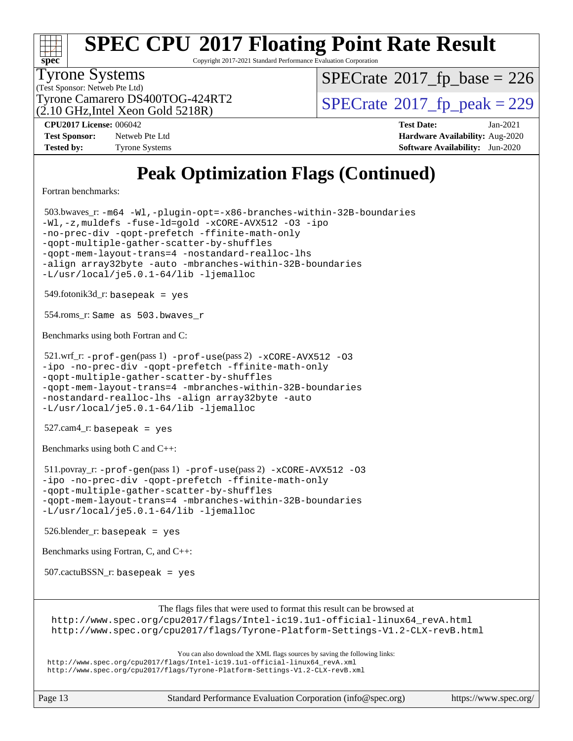

Copyright 2017-2021 Standard Performance Evaluation Corporation

#### Tyrone Systems

(Test Sponsor: Netweb Pte Ltd)  $(2.10 \text{ GHz}$ , Intel Xeon Gold 5218R)  $SPECTate$ <sup>®</sup>[2017\\_fp\\_base =](http://www.spec.org/auto/cpu2017/Docs/result-fields.html#SPECrate2017fpbase) 226

Tyrone Camarero DS400TOG-424RT2  $\vert$  [SPECrate](http://www.spec.org/auto/cpu2017/Docs/result-fields.html#SPECrate2017fppeak)®[2017\\_fp\\_peak = 2](http://www.spec.org/auto/cpu2017/Docs/result-fields.html#SPECrate2017fppeak)29

**[Tested by:](http://www.spec.org/auto/cpu2017/Docs/result-fields.html#Testedby)** Tyrone Systems **[Software Availability:](http://www.spec.org/auto/cpu2017/Docs/result-fields.html#SoftwareAvailability)** Jun-2020

**[CPU2017 License:](http://www.spec.org/auto/cpu2017/Docs/result-fields.html#CPU2017License)** 006042 **[Test Date:](http://www.spec.org/auto/cpu2017/Docs/result-fields.html#TestDate)** Jan-2021 **[Test Sponsor:](http://www.spec.org/auto/cpu2017/Docs/result-fields.html#TestSponsor)** Netweb Pte Ltd **[Hardware Availability:](http://www.spec.org/auto/cpu2017/Docs/result-fields.html#HardwareAvailability)** Aug-2020

### **[Peak Optimization Flags \(Continued\)](http://www.spec.org/auto/cpu2017/Docs/result-fields.html#PeakOptimizationFlags)**

[Fortran benchmarks](http://www.spec.org/auto/cpu2017/Docs/result-fields.html#Fortranbenchmarks):

 503.bwaves\_r: [-m64](http://www.spec.org/cpu2017/results/res2021q1/cpu2017-20210222-24974.flags.html#user_peakFCLD503_bwaves_r_m64-icc) [-Wl,-plugin-opt=-x86-branches-within-32B-boundaries](http://www.spec.org/cpu2017/results/res2021q1/cpu2017-20210222-24974.flags.html#user_peakLDFLAGS503_bwaves_r_f-x86-branches-within-32B-boundaries_0098b4e4317ae60947b7b728078a624952a08ac37a3c797dfb4ffeb399e0c61a9dd0f2f44ce917e9361fb9076ccb15e7824594512dd315205382d84209e912f3) [-Wl,-z,muldefs](http://www.spec.org/cpu2017/results/res2021q1/cpu2017-20210222-24974.flags.html#user_peakEXTRA_LDFLAGS503_bwaves_r_link_force_multiple1_b4cbdb97b34bdee9ceefcfe54f4c8ea74255f0b02a4b23e853cdb0e18eb4525ac79b5a88067c842dd0ee6996c24547a27a4b99331201badda8798ef8a743f577) [-fuse-ld=gold](http://www.spec.org/cpu2017/results/res2021q1/cpu2017-20210222-24974.flags.html#user_peakEXTRA_LDFLAGS503_bwaves_r_f-fuse-ld_920b3586e2b8c6e0748b9c84fa9b744736ba725a32cab14ad8f3d4ad28eecb2f59d1144823d2e17006539a88734fe1fc08fc3035f7676166309105a78aaabc32) [-xCORE-AVX512](http://www.spec.org/cpu2017/results/res2021q1/cpu2017-20210222-24974.flags.html#user_peakFOPTIMIZE503_bwaves_r_f-xCORE-AVX512) [-O3](http://www.spec.org/cpu2017/results/res2021q1/cpu2017-20210222-24974.flags.html#user_peakFOPTIMIZE503_bwaves_r_f-O3) [-ipo](http://www.spec.org/cpu2017/results/res2021q1/cpu2017-20210222-24974.flags.html#user_peakFOPTIMIZE503_bwaves_r_f-ipo) [-no-prec-div](http://www.spec.org/cpu2017/results/res2021q1/cpu2017-20210222-24974.flags.html#user_peakFOPTIMIZE503_bwaves_r_f-no-prec-div) [-qopt-prefetch](http://www.spec.org/cpu2017/results/res2021q1/cpu2017-20210222-24974.flags.html#user_peakFOPTIMIZE503_bwaves_r_f-qopt-prefetch) [-ffinite-math-only](http://www.spec.org/cpu2017/results/res2021q1/cpu2017-20210222-24974.flags.html#user_peakFOPTIMIZE503_bwaves_r_f_finite_math_only_cb91587bd2077682c4b38af759c288ed7c732db004271a9512da14a4f8007909a5f1427ecbf1a0fb78ff2a814402c6114ac565ca162485bbcae155b5e4258871) [-qopt-multiple-gather-scatter-by-shuffles](http://www.spec.org/cpu2017/results/res2021q1/cpu2017-20210222-24974.flags.html#user_peakFOPTIMIZE503_bwaves_r_f-qopt-multiple-gather-scatter-by-shuffles) [-qopt-mem-layout-trans=4](http://www.spec.org/cpu2017/results/res2021q1/cpu2017-20210222-24974.flags.html#user_peakFOPTIMIZE503_bwaves_r_f-qopt-mem-layout-trans_fa39e755916c150a61361b7846f310bcdf6f04e385ef281cadf3647acec3f0ae266d1a1d22d972a7087a248fd4e6ca390a3634700869573d231a252c784941a8) [-nostandard-realloc-lhs](http://www.spec.org/cpu2017/results/res2021q1/cpu2017-20210222-24974.flags.html#user_peakEXTRA_FOPTIMIZE503_bwaves_r_f_2003_std_realloc_82b4557e90729c0f113870c07e44d33d6f5a304b4f63d4c15d2d0f1fab99f5daaed73bdb9275d9ae411527f28b936061aa8b9c8f2d63842963b95c9dd6426b8a) [-align array32byte](http://www.spec.org/cpu2017/results/res2021q1/cpu2017-20210222-24974.flags.html#user_peakEXTRA_FOPTIMIZE503_bwaves_r_align_array32byte_b982fe038af199962ba9a80c053b8342c548c85b40b8e86eb3cc33dee0d7986a4af373ac2d51c3f7cf710a18d62fdce2948f201cd044323541f22fc0fffc51b6) [-auto](http://www.spec.org/cpu2017/results/res2021q1/cpu2017-20210222-24974.flags.html#user_peakEXTRA_FOPTIMIZE503_bwaves_r_f-auto) [-mbranches-within-32B-boundaries](http://www.spec.org/cpu2017/results/res2021q1/cpu2017-20210222-24974.flags.html#user_peakEXTRA_FOPTIMIZE503_bwaves_r_f-mbranches-within-32B-boundaries) [-L/usr/local/je5.0.1-64/lib](http://www.spec.org/cpu2017/results/res2021q1/cpu2017-20210222-24974.flags.html#user_peakEXTRA_LIBS503_bwaves_r_jemalloc_link_path64_4b10a636b7bce113509b17f3bd0d6226c5fb2346b9178c2d0232c14f04ab830f976640479e5c33dc2bcbbdad86ecfb6634cbbd4418746f06f368b512fced5394) [-ljemalloc](http://www.spec.org/cpu2017/results/res2021q1/cpu2017-20210222-24974.flags.html#user_peakEXTRA_LIBS503_bwaves_r_jemalloc_link_lib_d1249b907c500fa1c0672f44f562e3d0f79738ae9e3c4a9c376d49f265a04b9c99b167ecedbf6711b3085be911c67ff61f150a17b3472be731631ba4d0471706) 549.fotonik3d\_r: basepeak = yes 554.roms\_r: Same as 503.bwaves\_r [Benchmarks using both Fortran and C](http://www.spec.org/auto/cpu2017/Docs/result-fields.html#BenchmarksusingbothFortranandC): 521.wrf\_r: [-prof-gen](http://www.spec.org/cpu2017/results/res2021q1/cpu2017-20210222-24974.flags.html#user_peakPASS1_CFLAGSPASS1_FFLAGSPASS1_LDFLAGS521_wrf_r_prof_gen_5aa4926d6013ddb2a31985c654b3eb18169fc0c6952a63635c234f711e6e63dd76e94ad52365559451ec499a2cdb89e4dc58ba4c67ef54ca681ffbe1461d6b36)(pass 1) [-prof-use](http://www.spec.org/cpu2017/results/res2021q1/cpu2017-20210222-24974.flags.html#user_peakPASS2_CFLAGSPASS2_FFLAGSPASS2_LDFLAGS521_wrf_r_prof_use_1a21ceae95f36a2b53c25747139a6c16ca95bd9def2a207b4f0849963b97e94f5260e30a0c64f4bb623698870e679ca08317ef8150905d41bd88c6f78df73f19)(pass 2) [-xCORE-AVX512](http://www.spec.org/cpu2017/results/res2021q1/cpu2017-20210222-24974.flags.html#user_peakCOPTIMIZEPASS2_COPTIMIZEPASS2_FOPTIMIZE521_wrf_r_f-xCORE-AVX512) [-O3](http://www.spec.org/cpu2017/results/res2021q1/cpu2017-20210222-24974.flags.html#user_peakCOPTIMIZEPASS1_COPTIMIZEPASS1_FOPTIMIZEPASS2_COPTIMIZEPASS2_FOPTIMIZE521_wrf_r_f-O3) [-ipo](http://www.spec.org/cpu2017/results/res2021q1/cpu2017-20210222-24974.flags.html#user_peakCOPTIMIZEPASS1_COPTIMIZEPASS1_FOPTIMIZEPASS2_COPTIMIZEPASS2_FOPTIMIZE521_wrf_r_f-ipo) [-no-prec-div](http://www.spec.org/cpu2017/results/res2021q1/cpu2017-20210222-24974.flags.html#user_peakCOPTIMIZEPASS1_COPTIMIZEPASS1_FOPTIMIZEPASS2_COPTIMIZEPASS2_FOPTIMIZE521_wrf_r_f-no-prec-div) [-qopt-prefetch](http://www.spec.org/cpu2017/results/res2021q1/cpu2017-20210222-24974.flags.html#user_peakCOPTIMIZEPASS1_COPTIMIZEPASS1_FOPTIMIZEPASS2_COPTIMIZEPASS2_FOPTIMIZE521_wrf_r_f-qopt-prefetch) [-ffinite-math-only](http://www.spec.org/cpu2017/results/res2021q1/cpu2017-20210222-24974.flags.html#user_peakCOPTIMIZEPASS1_COPTIMIZEPASS1_FOPTIMIZEPASS2_COPTIMIZEPASS2_FOPTIMIZE521_wrf_r_f_finite_math_only_cb91587bd2077682c4b38af759c288ed7c732db004271a9512da14a4f8007909a5f1427ecbf1a0fb78ff2a814402c6114ac565ca162485bbcae155b5e4258871) [-qopt-multiple-gather-scatter-by-shuffles](http://www.spec.org/cpu2017/results/res2021q1/cpu2017-20210222-24974.flags.html#user_peakCOPTIMIZEPASS1_COPTIMIZEPASS1_FOPTIMIZEPASS2_COPTIMIZEPASS2_FOPTIMIZE521_wrf_r_f-qopt-multiple-gather-scatter-by-shuffles) [-qopt-mem-layout-trans=4](http://www.spec.org/cpu2017/results/res2021q1/cpu2017-20210222-24974.flags.html#user_peakCOPTIMIZEFOPTIMIZEPASS1_COPTIMIZEPASS1_FOPTIMIZEPASS2_COPTIMIZEPASS2_FOPTIMIZE521_wrf_r_f-qopt-mem-layout-trans_fa39e755916c150a61361b7846f310bcdf6f04e385ef281cadf3647acec3f0ae266d1a1d22d972a7087a248fd4e6ca390a3634700869573d231a252c784941a8) [-mbranches-within-32B-boundaries](http://www.spec.org/cpu2017/results/res2021q1/cpu2017-20210222-24974.flags.html#user_peakEXTRA_COPTIMIZEEXTRA_FOPTIMIZE521_wrf_r_f-mbranches-within-32B-boundaries) [-nostandard-realloc-lhs](http://www.spec.org/cpu2017/results/res2021q1/cpu2017-20210222-24974.flags.html#user_peakEXTRA_FOPTIMIZE521_wrf_r_f_2003_std_realloc_82b4557e90729c0f113870c07e44d33d6f5a304b4f63d4c15d2d0f1fab99f5daaed73bdb9275d9ae411527f28b936061aa8b9c8f2d63842963b95c9dd6426b8a) [-align array32byte](http://www.spec.org/cpu2017/results/res2021q1/cpu2017-20210222-24974.flags.html#user_peakEXTRA_FOPTIMIZE521_wrf_r_align_array32byte_b982fe038af199962ba9a80c053b8342c548c85b40b8e86eb3cc33dee0d7986a4af373ac2d51c3f7cf710a18d62fdce2948f201cd044323541f22fc0fffc51b6) [-auto](http://www.spec.org/cpu2017/results/res2021q1/cpu2017-20210222-24974.flags.html#user_peakEXTRA_FOPTIMIZE521_wrf_r_f-auto) [-L/usr/local/je5.0.1-64/lib](http://www.spec.org/cpu2017/results/res2021q1/cpu2017-20210222-24974.flags.html#user_peakEXTRA_LIBS521_wrf_r_jemalloc_link_path64_4b10a636b7bce113509b17f3bd0d6226c5fb2346b9178c2d0232c14f04ab830f976640479e5c33dc2bcbbdad86ecfb6634cbbd4418746f06f368b512fced5394) [-ljemalloc](http://www.spec.org/cpu2017/results/res2021q1/cpu2017-20210222-24974.flags.html#user_peakEXTRA_LIBS521_wrf_r_jemalloc_link_lib_d1249b907c500fa1c0672f44f562e3d0f79738ae9e3c4a9c376d49f265a04b9c99b167ecedbf6711b3085be911c67ff61f150a17b3472be731631ba4d0471706) 527.cam4\_r: basepeak = yes [Benchmarks using both C and C++](http://www.spec.org/auto/cpu2017/Docs/result-fields.html#BenchmarksusingbothCandCXX): 511.povray\_r: [-prof-gen](http://www.spec.org/cpu2017/results/res2021q1/cpu2017-20210222-24974.flags.html#user_peakPASS1_CFLAGSPASS1_CXXFLAGSPASS1_LDFLAGS511_povray_r_prof_gen_5aa4926d6013ddb2a31985c654b3eb18169fc0c6952a63635c234f711e6e63dd76e94ad52365559451ec499a2cdb89e4dc58ba4c67ef54ca681ffbe1461d6b36)(pass 1) [-prof-use](http://www.spec.org/cpu2017/results/res2021q1/cpu2017-20210222-24974.flags.html#user_peakPASS2_CFLAGSPASS2_CXXFLAGSPASS2_LDFLAGS511_povray_r_prof_use_1a21ceae95f36a2b53c25747139a6c16ca95bd9def2a207b4f0849963b97e94f5260e30a0c64f4bb623698870e679ca08317ef8150905d41bd88c6f78df73f19)(pass 2) [-xCORE-AVX512](http://www.spec.org/cpu2017/results/res2021q1/cpu2017-20210222-24974.flags.html#user_peakCOPTIMIZECXXOPTIMIZEPASS2_COPTIMIZEPASS2_CXXOPTIMIZE511_povray_r_f-xCORE-AVX512) [-O3](http://www.spec.org/cpu2017/results/res2021q1/cpu2017-20210222-24974.flags.html#user_peakCOPTIMIZECXXOPTIMIZEPASS1_COPTIMIZEPASS1_CXXOPTIMIZEPASS2_COPTIMIZEPASS2_CXXOPTIMIZE511_povray_r_f-O3) [-ipo](http://www.spec.org/cpu2017/results/res2021q1/cpu2017-20210222-24974.flags.html#user_peakCOPTIMIZECXXOPTIMIZEPASS1_COPTIMIZEPASS1_CXXOPTIMIZEPASS2_COPTIMIZEPASS2_CXXOPTIMIZE511_povray_r_f-ipo) [-no-prec-div](http://www.spec.org/cpu2017/results/res2021q1/cpu2017-20210222-24974.flags.html#user_peakCOPTIMIZECXXOPTIMIZEPASS1_COPTIMIZEPASS1_CXXOPTIMIZEPASS2_COPTIMIZEPASS2_CXXOPTIMIZE511_povray_r_f-no-prec-div) [-qopt-prefetch](http://www.spec.org/cpu2017/results/res2021q1/cpu2017-20210222-24974.flags.html#user_peakCOPTIMIZECXXOPTIMIZEPASS1_COPTIMIZEPASS1_CXXOPTIMIZEPASS2_COPTIMIZEPASS2_CXXOPTIMIZE511_povray_r_f-qopt-prefetch) [-ffinite-math-only](http://www.spec.org/cpu2017/results/res2021q1/cpu2017-20210222-24974.flags.html#user_peakCOPTIMIZECXXOPTIMIZEPASS1_COPTIMIZEPASS1_CXXOPTIMIZEPASS2_COPTIMIZEPASS2_CXXOPTIMIZE511_povray_r_f_finite_math_only_cb91587bd2077682c4b38af759c288ed7c732db004271a9512da14a4f8007909a5f1427ecbf1a0fb78ff2a814402c6114ac565ca162485bbcae155b5e4258871) [-qopt-multiple-gather-scatter-by-shuffles](http://www.spec.org/cpu2017/results/res2021q1/cpu2017-20210222-24974.flags.html#user_peakCOPTIMIZECXXOPTIMIZEPASS1_COPTIMIZEPASS1_CXXOPTIMIZEPASS2_COPTIMIZEPASS2_CXXOPTIMIZE511_povray_r_f-qopt-multiple-gather-scatter-by-shuffles) [-qopt-mem-layout-trans=4](http://www.spec.org/cpu2017/results/res2021q1/cpu2017-20210222-24974.flags.html#user_peakCOPTIMIZECXXOPTIMIZEPASS1_COPTIMIZEPASS1_CXXOPTIMIZEPASS2_COPTIMIZEPASS2_CXXOPTIMIZE511_povray_r_f-qopt-mem-layout-trans_fa39e755916c150a61361b7846f310bcdf6f04e385ef281cadf3647acec3f0ae266d1a1d22d972a7087a248fd4e6ca390a3634700869573d231a252c784941a8) [-mbranches-within-32B-boundaries](http://www.spec.org/cpu2017/results/res2021q1/cpu2017-20210222-24974.flags.html#user_peakEXTRA_COPTIMIZEEXTRA_CXXOPTIMIZE511_povray_r_f-mbranches-within-32B-boundaries) [-L/usr/local/je5.0.1-64/lib](http://www.spec.org/cpu2017/results/res2021q1/cpu2017-20210222-24974.flags.html#user_peakEXTRA_LIBS511_povray_r_jemalloc_link_path64_4b10a636b7bce113509b17f3bd0d6226c5fb2346b9178c2d0232c14f04ab830f976640479e5c33dc2bcbbdad86ecfb6634cbbd4418746f06f368b512fced5394) [-ljemalloc](http://www.spec.org/cpu2017/results/res2021q1/cpu2017-20210222-24974.flags.html#user_peakEXTRA_LIBS511_povray_r_jemalloc_link_lib_d1249b907c500fa1c0672f44f562e3d0f79738ae9e3c4a9c376d49f265a04b9c99b167ecedbf6711b3085be911c67ff61f150a17b3472be731631ba4d0471706) 526.blender\_r: basepeak = yes [Benchmarks using Fortran, C, and C++:](http://www.spec.org/auto/cpu2017/Docs/result-fields.html#BenchmarksusingFortranCandCXX) 507.cactuBSSN\_r: basepeak = yes [The flags files that were used to format this result can be browsed at](tmsearch) [http://www.spec.org/cpu2017/flags/Intel-ic19.1u1-official-linux64\\_revA.html](http://www.spec.org/cpu2017/flags/Intel-ic19.1u1-official-linux64_revA.html) <http://www.spec.org/cpu2017/flags/Tyrone-Platform-Settings-V1.2-CLX-revB.html> [You can also download the XML flags sources by saving the following links:](tmsearch)

[http://www.spec.org/cpu2017/flags/Intel-ic19.1u1-official-linux64\\_revA.xml](http://www.spec.org/cpu2017/flags/Intel-ic19.1u1-official-linux64_revA.xml) <http://www.spec.org/cpu2017/flags/Tyrone-Platform-Settings-V1.2-CLX-revB.xml>